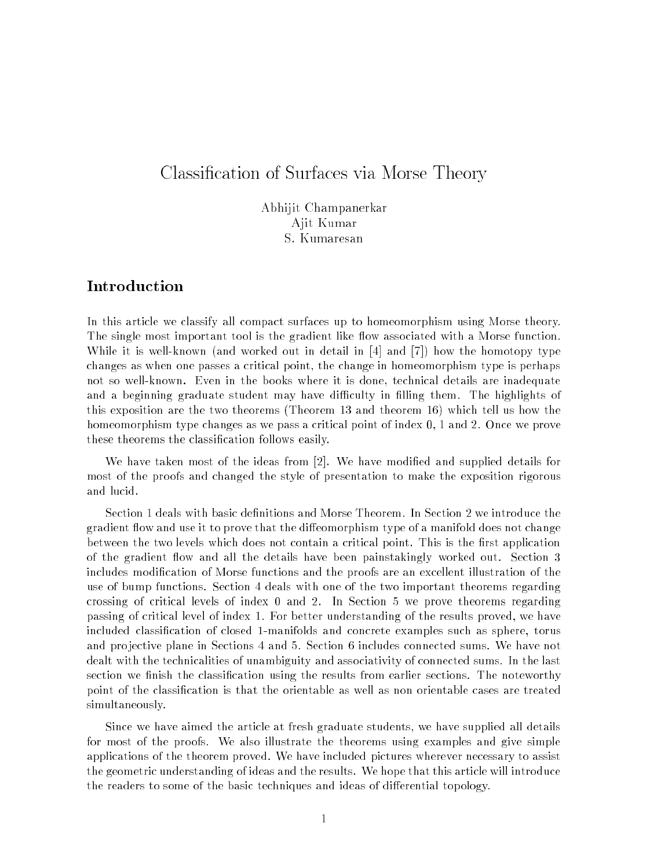# Classification of Surfaces via Morse Theory

Abhijit Champanerkar Ajit Kumar S. Kumaresan

### **Introduction**

In this article we classify all compact surfaces up to homeomorphism using Morse theory. The single most important tool is the gradient like flow associated with a Morse function. While it is well-known (and worked out in detail in  $[4]$  and  $[7]$ ) how the homotopy type changes as when one passes a critical point, the change in homeomorphism type is perhaps not so well-known. Even in the books where it is done, te
hni
al details are inadequate and a beginning graduate student may have difficulty in filling them. The highlights of this exposition are the two theorems (Theorem 13 and theorem 16) whi
h tell us how the homeomorphism type changes as we pass a critical point of index 0, 1 and 2. Once we prove these theorems the classification follows easily.

We have taken most of the ideas from  $[2]$ . We have modified and supplied details for most of the proofs and hanged the style of presentation to make the exposition rigorous and lu
id.

Section 1 deals with basic definitions and Morse Theorem. In Section 2 we introduce the gradient flow and use it to prove that the diffeomorphism type of a manifold does not change between the two levels which does not contain a critical point. This is the first application of the gradient flow and all the details have been painstakingly worked out. Section 3 includes modification of Morse functions and the proofs are an excellent illustration of the use of bump fun
tions. Se
tion 4 deals with one of the two important theorems regarding crossing of critical levels of index 0 and 2. In Section 5 we prove theorems regarding passing of critical level of index 1. For better understanding of the results proved, we have included classification of closed 1-manifolds and concrete examples such as sphere, torus and projective plane in Sections 4 and 5. Section 6 includes connected sums. We have not dealt with the technicalities of unambiguity and associativity of connected sums. In the last section we finish the classification using the results from earlier sections. The noteworthy point of the classification is that the orientable as well as non orientable cases are treated simultaneously.

Sin
e we have aimed the arti
le at fresh graduate students, we have supplied all details for most of the proofs. We also illustrate the theorems using examples and give simple applications of the theorem proved. We have included pictures wherever necessary to assist the geometric understanding of ideas and the results. We hope that this article will introduce the readers to some of the basic techniques and ideas of differential topology.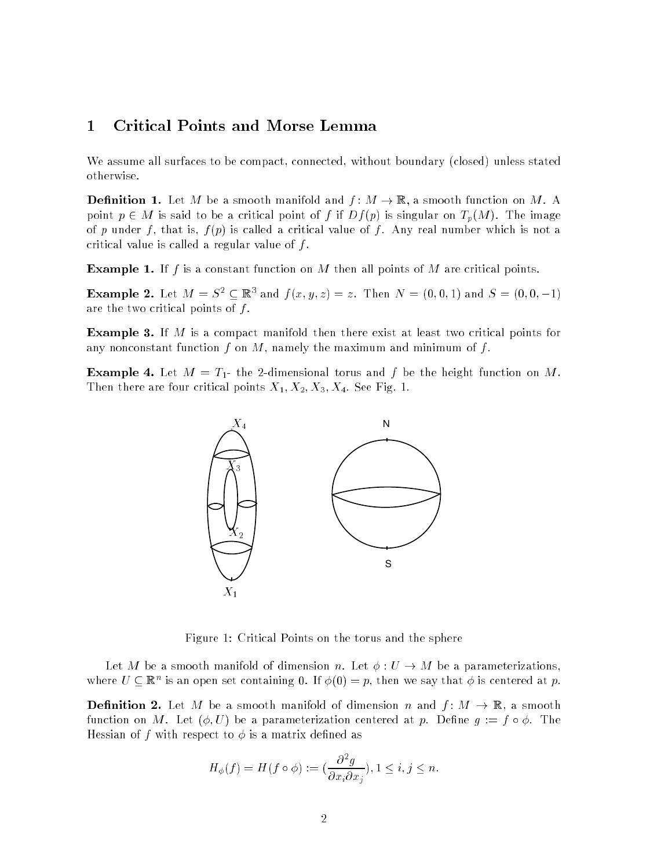## 1 Criti
al Points and Morse Lemma

We assume all surfaces to be compact, connected, without boundary (closed) unless stated otherwise.

**Definition 1.** Let M be a smooth manifold and  $f: M \to \mathbb{R}$ , a smooth function on M. A point  $p \in M$  is said to be a critical point of f if  $Df(p)$  is singular on  $T_p(M)$ . The image of p under f, that is,  $f(p)$  is called a critical value of f. Any real number which is not a critical value is called a regular value of  $f$ .

**Example 1.** If f is a constant function on M then all points of M are critical points.

**Example 2.** Let  $M = S^{\top} \subseteq \mathbb{R}^{\top}$  and  $f(x, y, z) = z$ . Then  $N = (0, 0, 1)$  and  $S = (0, 0, -1)$ are the two critical points of  $f$ .

**Example 3.** If M is a compact manifold then there exist at least two critical points for any nonconstant function f on M, namely the maximum and minimum of f.

**Example 4.** Let  $M = T_1$ - the 2-dimensional torus and f be the height function on M. Then there are four critical points  $X_1, X_2, X_3, X_4$ . See Fig. 1.



Figure 1: Criti
al Points on the torus and the sphere

Let M be a smooth manifold of dimension n. Let  $\phi: U \to M$  be a parameterizations, where  $U \subseteq \mathbb{R}^n$  is an open set containing  $0$ . If  $\phi(0) \equiv p$ , then we say that  $\phi$  is centered at  $p$ .

**Definition 2.** Let M be a smooth manifold of dimension n and  $f: M \to \mathbb{R}$ , a smooth function on M. Let  $(\phi, U)$  be a parameterization centered at p. Define  $g := f \circ \phi$ . The Hessian of f with respect to  $\phi$  is a matrix defined as

$$
H_{\phi}(f) = H(f \circ \phi) := \left(\frac{\partial^2 g}{\partial x_i \partial x_j}\right), 1 \leq i, j \leq n.
$$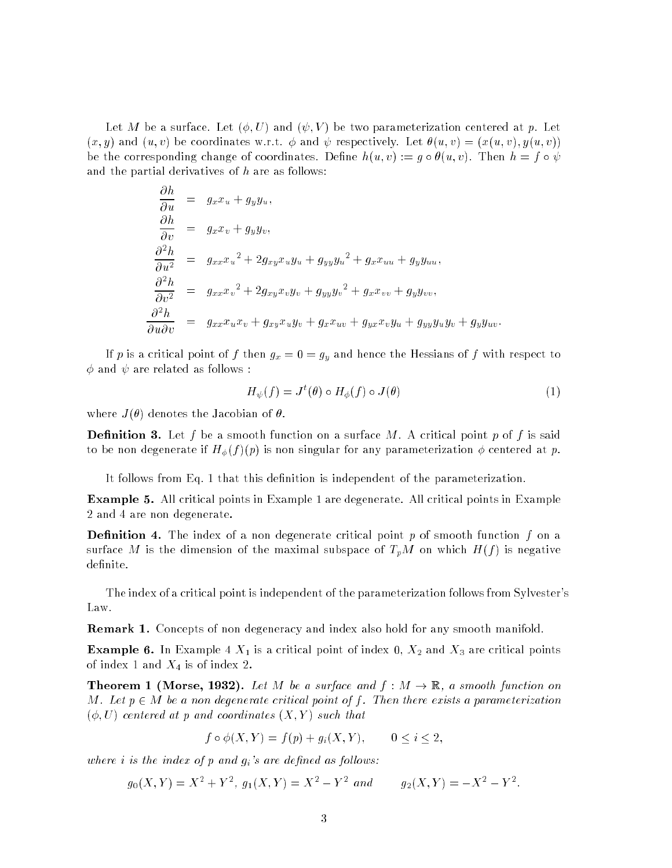Let M be a surface. Let  $(\phi, U)$  and  $(\psi, V)$  be two parameterization centered at p. Let  $(x, y)$  and  $(u, v)$  be coordinates w.r.t.  $\phi$  and  $\psi$  respectively. Let  $\theta(u, v) = (x(u, v), y(u, v))$ be the corresponding change of coordinates. Define  $h(u, v) := g \circ \theta(u, v)$ . Then  $h = f \circ \psi$ and the partial derivatives of  $h$  are as follows:

$$
\frac{\partial h}{\partial u} = g_x x_u + g_y y_u,\n\frac{\partial h}{\partial v} = g_x x_v + g_y y_v,\n\frac{\partial^2 h}{\partial u^2} = g_{xx} x_u^2 + 2 g_{xy} x_u y_u + g_{yy} y_u^2 + g_x x_{uu} + g_y y_{uu},\n\frac{\partial^2 h}{\partial v^2} = g_{xx} x_v^2 + 2 g_{xy} x_v y_v + g_{yy} y_v^2 + g_x x_{vv} + g_y y_{vv},\n\frac{\partial^2 h}{\partial u \partial v} = g_{xx} x_u x_v + g_{xy} x_u y_v + g_x x_{uv} + g_{yx} x_v y_u + g_{yy} y_u y_v + g_y y_{uv}.
$$

If p is a critical point of f then  $g_x = 0 = g_y$  and hence the Hessians of f with respect to  $\phi$  and  $\psi$  are related as follows :

$$
H_{\psi}(f) = J^{t}(\theta) \circ H_{\phi}(f) \circ J(\theta)
$$
\n<sup>(1)</sup>

where  $J(\theta)$  denotes the Jacobian of  $\theta$ .

**Definition 3.** Let f be a smooth function on a surface M. A critical point p of f is said to be non degenerate if  $H_{\phi}(f)(p)$  is non singular for any parameterization  $\phi$  centered at p.

It follows from Eq. 1 that this definition is independent of the parameterization.

**Example 5.** All critical points in Example 1 are degenerate. All critical points in Example 2 and 4 are non degenerate.

**Definition 4.** The index of a non degenerate critical point  $p$  of smooth function  $f$  on a surface M is the dimension of the maximal subspace of  $T_pM$  on which  $H(f)$  is negative definite.

The index of a critical point is independent of the parameterization follows from Sylvester's Law.

**Remark 1.** Concepts of non degeneracy and index also hold for any smooth manifold.

**Example 6.** In Example 4  $X_1$  is a critical point of index 0,  $X_2$  and  $X_3$  are critical points of index 1 and  $X_4$  is of index 2.

**Theorem 1 (Morse, 1932).** Let M be a surface and  $f : M \to \mathbb{R}$ , a smooth function on M. Let  $p \in M$  be a non degenerate critical point of f. Then there exists a parameterization  $(\phi, U)$  centered at p and coordinates  $(X, Y)$  such that

$$
f \circ \phi(X, Y) = f(p) + g_i(X, Y), \qquad 0 \le i \le 2,
$$

where  $i$  is the index of  $p$  and  $g_i$ 's are defined as follows:

$$
g_0(X,Y) = X^2 + Y^2
$$
,  $g_1(X,Y) = X^2 - Y^2$  and  $g_2(X,Y) = -X^2 - Y^2$ .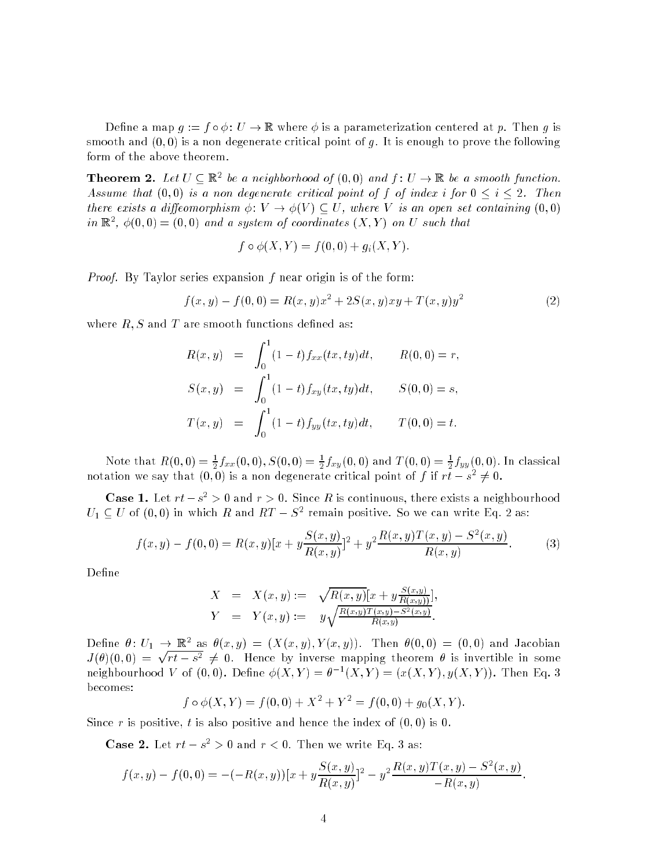Define a map  $g := f \circ \phi : U \to \mathbb{R}$  where  $\phi$  is a parameterization centered at p. Then g is smooth and  $(0,0)$  is a non degenerate critical point of g. It is enough to prove the following form of the above theorem.

**Theorem 2.** Let  $U \subseteq \mathbb{R}^2$  be a neighborhood of  $(0,0)$  and  $f: U \to \mathbb{R}$  be a smooth function. Assume that  $(0,0)$  is a non degenerate critical point of f of index i for  $0 \le i \le 2$ . Then there exists a diffeomorphism  $\phi: V \to \phi(V) \subset U$ , where V is an open set containing  $(0,0)$ in  $\mathbb{R}^2$ ,  $\varphi(0,0) \equiv (0,0)$  and a system of coordinates  $(\Lambda, Y)$  on U such that

$$
f \circ \phi(X, Y) = f(0, 0) + g_i(X, Y).
$$

Proof. By Taylor series expansion f near origin is of the form:

$$
f(x,y) - f(0,0) = R(x,y)x^{2} + 2S(x,y)xy + T(x,y)y^{2}
$$
\n(2)

where  $R, S$  and  $T$  are smooth functions defined as:

$$
R(x,y) = \int_0^1 (1-t) f_{xx}(tx, ty) dt, \qquad R(0,0) = r,
$$
  
\n
$$
S(x,y) = \int_0^1 (1-t) f_{xy}(tx, ty) dt, \qquad S(0,0) = s,
$$
  
\n
$$
T(x,y) = \int_0^1 (1-t) f_{yy}(tx, ty) dt, \qquad T(0,0) = t.
$$

Note that  $R(0,0) = \frac{1}{2} J_{xx}(0,0), S(0,0) = \frac{1}{2} J_{xy}(0,0)$  and  $I(0,0) = \frac{1}{2} J_{yy}(0,0)$ . In classical notation we say that  $(0,0)$  is a non-degenerate critical point of  $f$  if  $rt - s^- \neq 0$ .

**Case 1.** Let  $rt - s^- > 0$  and  $r > 0$ . Since R is continuous, there exists a neighbourhood  $U_1 \subseteq U$  of  $[0,0)$  in which R and  $\kappa I = S^-$  remain positive. So we can write Eq. 2 as:

$$
f(x,y) - f(0,0) = R(x,y)[x + y\frac{S(x,y)}{R(x,y)}]^2 + y^2 \frac{R(x,y)T(x,y) - S^2(x,y)}{R(x,y)}.
$$
 (3)

Define

$$
X = X(x, y) := \sqrt{R(x, y)} [x + y \frac{S(x, y)}{R(x, y)}],
$$
  
\n
$$
Y = Y(x, y) := y \sqrt{\frac{R(x, y)T(x, y) - S^2(x, y)}{R(x, y)}}.
$$

Define  $\theta: U_1 \to \mathbb{R}^+$  as  $\theta(x,y) = (A(x,y), Y(x,y))$ . Then  $\theta(0,0) = (0,0)$  and Jacobian J()(0; 0) =  $\sqrt{rt - s^2} \neq 0$ . Hence by inverse mapping theorem  $\theta$  is invertible in some neignbourhood v of  $(0,0)$ . Define  $\phi(A, Y) = \theta^{-1}(A, Y) = (x(A, Y), y(A, Y))$ . Then Eq. 3 be
omes:

 $f \circ \phi(X, Y) = f(0, 0) + X^{-} + Y^{-} = f(0, 0) + g_{0}(X, Y).$ 

Since r is positive, t is also positive and hence the index of  $(0,0)$  is 0.

Case  $\Delta$ . Let  $rt - s^- > 0$  and  $r < 0$ . Then we write Eq. 3 as:

$$
f(x,y) - f(0,0) = -(-R(x,y))[x + y\frac{S(x,y)}{R(x,y)}]^2 - y^2 \frac{R(x,y)T(x,y) - S^2(x,y)}{-R(x,y)}
$$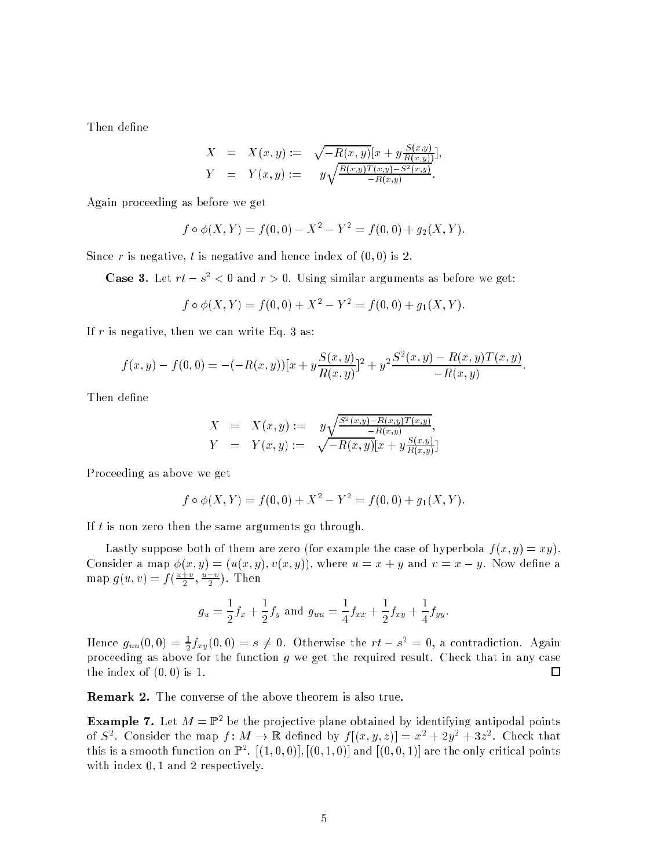Then define

$$
X = X(x, y) := \sqrt{-R(x, y)} [x + y \frac{S(x, y)}{R(x, y)}],
$$
  
\n
$$
Y = Y(x, y) := y \sqrt{\frac{R(x, y)T(x, y) - S^2(x, y)}{-R(x, y)}}.
$$

Again pro
eeding as before we get

$$
f \circ \phi(X, Y) = f(0, 0) - X^2 - Y^2 = f(0, 0) + g_2(X, Y).
$$

Since r is negative, t is negative and hence index of  $(0,0)$  is 2.

**Case 3.** Let  $rt - s^ \lt$  0 and  $r > 0$ . Using similar arguments as before we get:

$$
f \circ \phi(X, Y) = f(0, 0) + X^2 - Y^2 = f(0, 0) + g_1(X, Y).
$$

If  $r$  is negative, then we can write Eq. 3 as:

$$
f(x,y) - f(0,0) = -(-R(x,y))[x + y\frac{S(x,y)}{R(x,y)}]^2 + y^2 \frac{S^2(x,y) - R(x,y)T(x,y)}{-R(x,y)}.
$$

Then define

$$
X = X(x, y) := y \sqrt{\frac{S^{2}(x, y) - R(x, y)T(x, y)}{-R(x, y)}},
$$
  
\n
$$
Y = Y(x, y) := \sqrt{-R(x, y)}[x + y \frac{S(x, y)}{R(x, y)}]
$$

Pro
eeding as above we get

$$
f \circ \phi(X, Y) = f(0, 0) + X^2 - Y^2 = f(0, 0) + g_1(X, Y).
$$

If  $t$  is non zero then the same arguments go through.

Lastly suppose both of them are zero (for example the case of hyperbola  $f(x, y) = xy$ ). Consider a map  $\phi(x, y) = (u(x, y), v(x, y)),$  where  $u = x + y$  and  $v = x - y$ . Now define a map  $g(u, v) = f(\frac{u}{2}, \frac{v}{2})$ . I nen

$$
g_u = \frac{1}{2}f_x + \frac{1}{2}f_y
$$
 and  $g_{uu} = \frac{1}{4}f_{xx} + \frac{1}{2}f_{xy} + \frac{1}{4}f_{yy}.$ 

Hence  $g_{uu}(0,0) = \frac{1}{2}J_{xy}(0,0) = s \neq 0$ . Otherwise the  $rt - s^2 = 0$ , a contradiction. Again proceeding as above for the function  $g$  we get the required result. Check that in any case the index of  $(0,0)$  is 1. □

**Remark 2.** The converse of the above theorem is also true.

**Example 7.** Let  $M = \mathbb{I}$  the une projective plane obtained by identifying antipodal points of  $S^+$ . Consider the map  $\overline{f}:M\to\mathbb{R}$  defined by  $\overline{f}((x,y,z))=x^++2y^++3z^+$ . Check that this is a smooth function on  $\mathbb{F}^2$ ,  $[(1,0,0)], [(0,1,0)]$  and  $[(0,0,1)]$  are the only critical points with index 0, 1 and 2 respectively.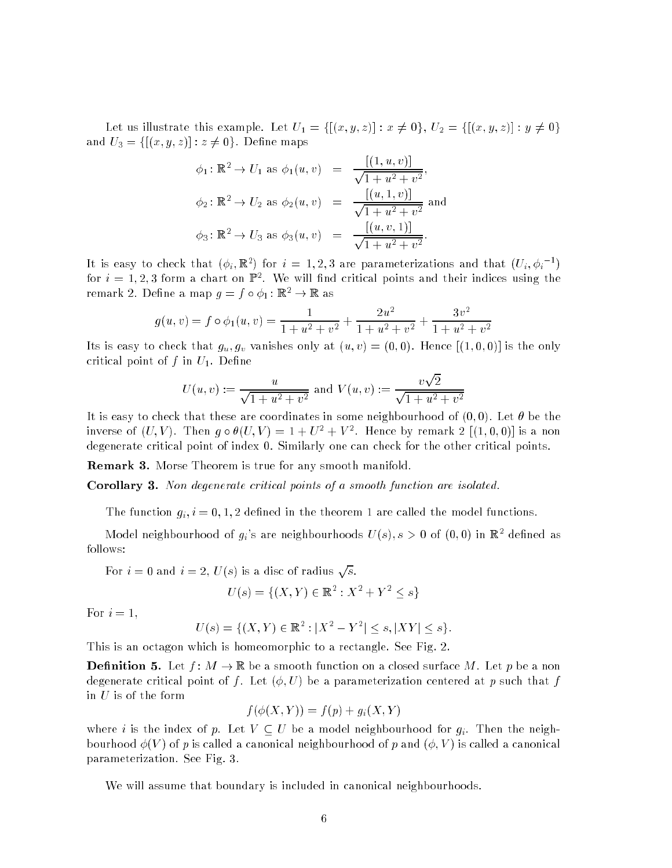Let us illustrate this example. Let  $U_1 = \{[(x, y, z)] : x \neq 0\}, U_2 = \{[(x, y, z)] : y \neq 0\}$ and  $U_3 = \{[(x, y, z)] : z \neq 0\}$ . Define maps

$$
\phi_1: \mathbb{R}^2 \to U_1 \text{ as } \phi_1(u, v) = \frac{[(1, u, v)]}{\sqrt{1 + u^2 + v^2}},
$$
  

$$
\phi_2: \mathbb{R}^2 \to U_2 \text{ as } \phi_2(u, v) = \frac{[(u, 1, v)]}{\sqrt{1 + u^2 + v^2}} \text{ and}
$$
  

$$
\phi_3: \mathbb{R}^2 \to U_3 \text{ as } \phi_3(u, v) = \frac{[(u, v, 1)]}{\sqrt{1 + u^2 + v^2}}.
$$

It is easy to check that  $(\varphi_i, \mathbb{R}^*)$  for  $i = 1, 2, 3$  are parameterizations and that  $(U_i, \varphi_i^{-})$ for  $i=1,2,3$  form a chart on  $\mathbb{F}^\ast$ . We will find critical points and their indices using the remark 2. Define a map  $g = f \circ \phi_1 : \mathbb{R}^2 \to \mathbb{R}$  as

$$
g(u, v) = f \circ \phi_1(u, v) = \frac{1}{1 + u^2 + v^2} + \frac{2u^2}{1 + u^2 + v^2} + \frac{3v^2}{1 + u^2 + v^2}
$$

Its is easy to check that  $g_u, g_v$  vanishes only at  $(u, v) = (0, 0)$ . Hence  $[(1, 0, 0)]$  is the only critical point of f in  $U_1$ . Define

$$
U(u, v) := \frac{u}{\sqrt{1 + u^2 + v^2}} \text{ and } V(u, v) := \frac{v\sqrt{2}}{\sqrt{1 + u^2 + v^2}}
$$

It is easy to check that these are coordinates in some neighbourhood of  $(0,0)$ . Let  $\theta$  be the inverse of  $(U, V)$ . Then  $q \circ \sigma(U, V) = 1 + U^+ + V^-$ . Hence by femaly  $Z$  [(1,0,0)] is a non degenerate critical point of index 0. Similarly one can check for the other critical points.

Remark 3. Morse Theorem is true for any smooth manifold.

Corollary 3. Non degenerate critical points of a smooth function are isolated.

The function  $g_i$ ,  $i = 0, 1, 2$  defined in the theorem 1 are called the model functions.

Model neighbourhood of  $g_i$ 's are neighbourhoods  $U(s), s > 0$  of  $(0,0)$  in  $\mathbb{R}^2$  defined as follows:

For  $i=0$  and  $i=2$ ,  $U(s)$  is a disc of radius  $\sqrt{s}$ .

$$
U(s) = \{(X, Y) \in \mathbb{R}^2 : X^2 + Y^2 \le s\}
$$

For  $i=1$ ,

$$
U(s) = \{(X, Y) \in \mathbb{R}^2 : |X^2 - Y^2| \le s, |XY| \le s\}.
$$

This is an octagon which is homeomorphic to a rectangle. See Fig. 2.

**Definition 5.** Let  $f: M \to \mathbb{R}$  be a smooth function on a closed surface M. Let p be a non degenerate critical point of f. Let  $(\phi, U)$  be a parameterization centered at p such that f in  $U$  is of the form

$$
f(\phi(X,Y)) = f(p) + g_i(X,Y)
$$

where i is the index of p. Let  $V \subseteq U$  be a model neighbourhood for  $g_i$ . Then the neighbourhood  $\phi(V)$  of p is called a canonical neighbourhood of p and  $(\phi, V)$  is called a canonical parameterization. See Fig. 3.

We will assume that boundary is included in canonical neighbourhoods.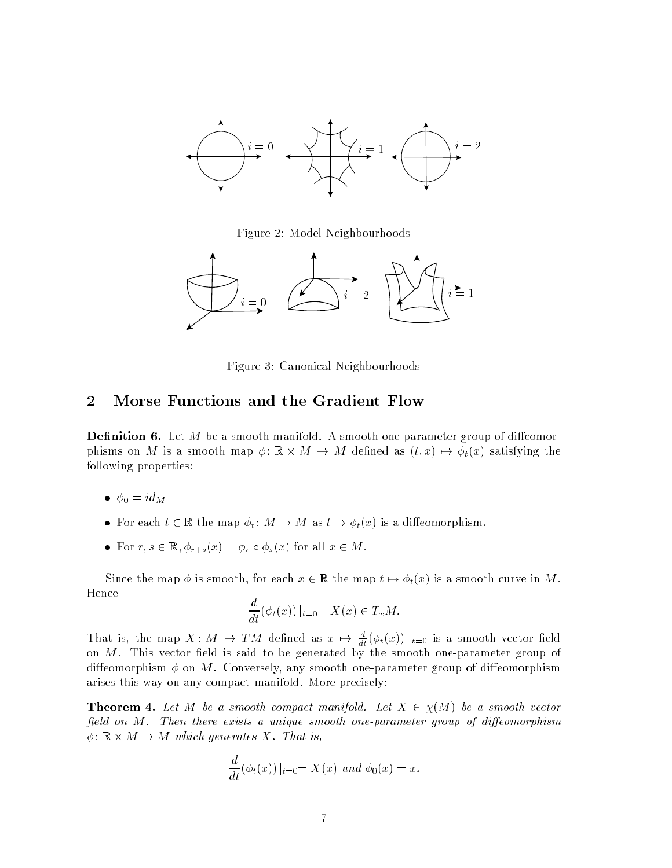

Figure 2: Model Neighbourhoods



Figure 3: Canoni
al Neighbourhoods

### 2 Morse Functions and the Gradient Flow

**Definition 6.** Let M be a smooth manifold. A smooth one-parameter group of diffeomorparameters on M is a smooth map  $\mu$  ,  $\mu$  is  $\mu$  and  $\mu$  as  $\mu$  as (times the  $\chi$  and  $\mu$  are  $\mu$ following properties:

- $\bullet \ \phi_0 = id_M$
- For each  $t \in \mathbb{R}$  the map  $\phi_t : M \to M$  as  $t \mapsto \phi_t(x)$  is a diffeomorphism.
- For  $r, s \in \mathbb{R}, \phi_{r+s}(x) = \phi_r \circ \phi_s(x)$  for all  $x \in M$ .

Since the map  $\phi$  is smooth, for each  $x \in \mathbb{R}$  the map  $t \mapsto \phi_t(x)$  is a smooth curve in M. Hen
e

$$
\frac{d}{dt}(\phi_t(x))|_{t=0} = X(x) \in T_xM.
$$

That is, the map  $\Lambda: M \to TM$  defined as  $x \mapsto \frac{1}{dt}(\varphi_t(x)) |_{t=0}$  is a smooth vector field on M. This ve
tor eld is said to be generated by the smooth one-parameter group of diffeomorphism  $\phi$  on M. Conversely, any smooth one-parameter group of diffeomorphism arises this way on any compact manifold. More precisely:

**Theorem 4.** Let M be a smooth compact manifold. Let  $X \in \chi(M)$  be a smooth vector field on  $M$ . Then there exists a unique smooth one-parameter group of diffeomorphism , respectively the contract generates are more that is,

$$
\frac{d}{dt}(\phi_t(x))|_{t=0} = X(x) \text{ and } \phi_0(x) = x.
$$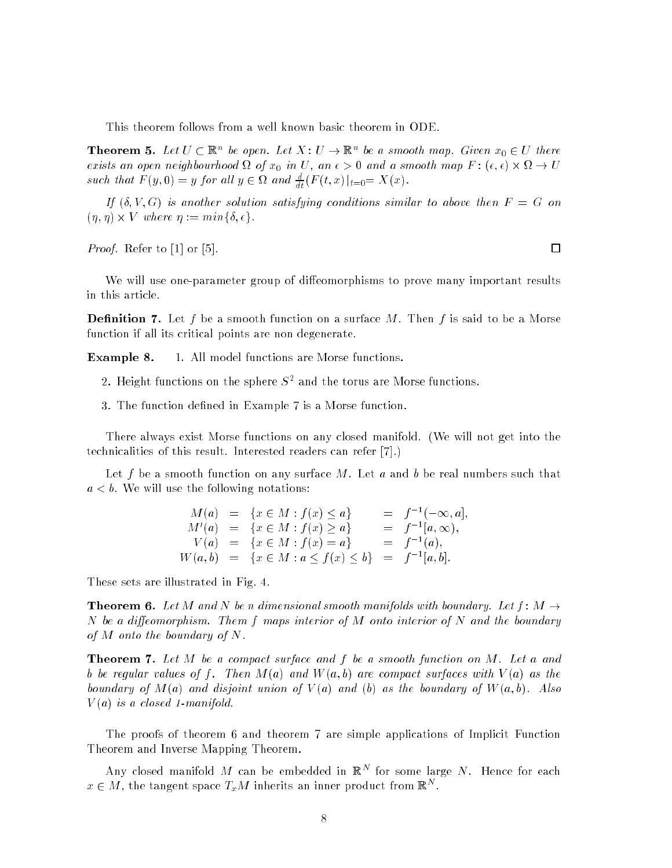This theorem follows from a well known basi
 theorem in ODE.

**Theorem 5.** Let  $U \subseteq \mathbb{R}^n$  be open. Let  $X: U \to \mathbb{R}^n$  be a smooth map. Given  $x_0 \in U$  there exists and open indights minor at our products of and a source of citizens in Map F is (sports) to be such that  $F(y, 0) = y$  for all  $y \in \Omega$  and  $\frac{d}{dt} (F(t, x))|_{t=0} = \Lambda(x)$ .

If  $(\delta, V, G)$  is another solution satisfying conditions similar to above then  $F = G$  on (; ) - V where := minfÆ; g.

*Proof.* Refer to  $[1]$  or  $[5]$ .

We will use one-parameter group of diffeomorphisms to prove many important results in this arti
le.

**Definition 7.** Let f be a smooth function on a surface M. Then f is said to be a Morse function if all its critical points are non degenerate.

Example 8. 1. All model functions are Morse functions.

- z. Height functions on the sphere 5- and the torus are morse functions.
- 3. The function defined in Example 7 is a Morse function.

There always exist Morse functions on any closed manifold. (We will not get into the technicalities of this result. Interested readers can refer [7].)

Let f be a smooth function on any surface M. Let a and b be real numbers such that  $a < b$ . We will use the following notations:

|  | $M(a) = \{x \in M : f(x) \leq a\}$                         | $= f^{-1}(-\infty, a],$ |
|--|------------------------------------------------------------|-------------------------|
|  | $M'(a) = \{x \in M : f(x) \geq a\}$                        | $= f^{-1}[a,\infty),$   |
|  | $V(a) = \{x \in M : f(x) = a\}$                            | $= f^{-1}(a),$          |
|  | $W(a, b) = \{x \in M : a \le f(x) \le b\} = f^{-1}[a, b].$ |                         |

These sets are illustrated in Fig. 4.

**Theorem 6.** Let M and N be n dimensional smooth manifolds with boundary. Let  $f : M \rightarrow$ N be a diffeomorphism. Them f maps interior of M onto interior of N and the boundary of  $M$  onto the boundary of  $N$ .

**Theorem 7.** Let M be a compact surface and f be a smooth function on M. Let a and b be regular values of f. Then  $M(a)$  and  $W(a, b)$  are compact surfaces with  $V(a)$  as the boundary of  $M(a)$  and disjoint union of  $V(a)$  and (b) as the boundary of  $W(a, b)$ . Also  $V(a)$  is a closed 1-manifold.

The proofs of theorem 6 and theorem 7 are simple applications of Implicit Function Theorem and Inverse Mapping Theorem.

Any closed manifold *M* can be embedded in K<sup>n</sup> for some large *N*. Hence for each  $x \in M$ , the tangent space  $\mathcal{I}_xM$  inherits an inner product from  $\mathbb{R}^+$ .

□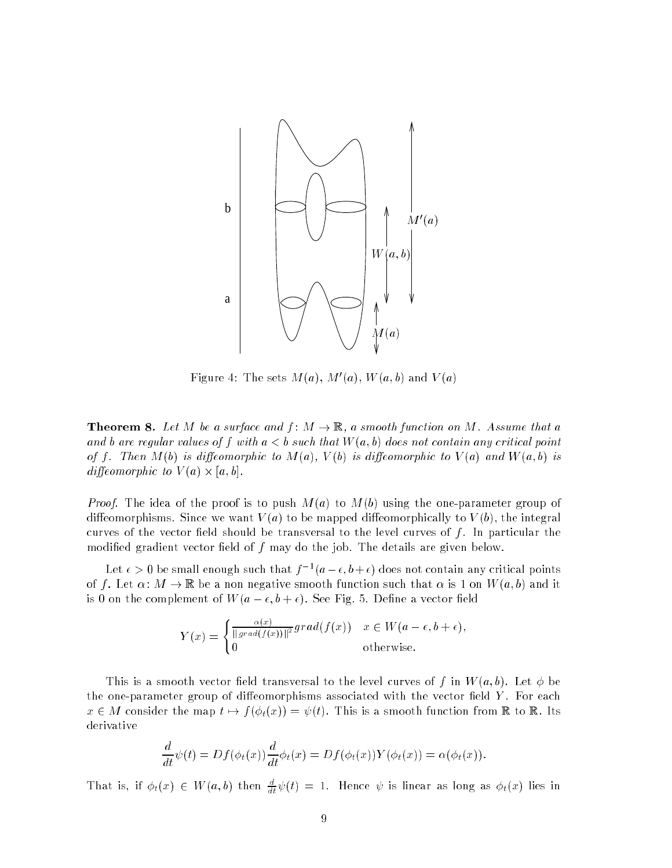

Figure 4: The sets  $M(a)$ ,  $M'(a)$ ,  $W(a, b)$  and  $V(a)$ 

**Theorem 8.** Let M be a surface and  $f : M \to \mathbb{R}$ , a smooth function on M. Assume that a and b are regular values of f with  $a < b$  such that  $W(a, b)$  does not contain any critical point of f. Then  $M(b)$  is diffeomorphic to  $M(a)$ ,  $V(b)$  is diffeomorphic to  $V(a)$  and  $W(a, b)$  is dieomorphied in the contract of the contract of the contract of the contract of the contract of the contract of

*Proof.* The idea of the proof is to push  $M(a)$  to  $M(b)$  using the one-parameter group of diffeomorphisms. Since we want  $V(a)$  to be mapped diffeomorphically to  $V(b)$ , the integral curves of the vector field should be transversal to the level curves of  $f$ . In particular the modified gradient vector field of  $f$  may do the job. The details are given below.

Let  $\epsilon > 0$  be sinall enough such that  $\gamma^{-1}(a-\epsilon, b+\epsilon)$  does not contain any critical points of f. Let  $\alpha : M \to \mathbb{R}$  be a non negative smooth function such that  $\alpha$  is 1 on  $W(a, b)$  and it is 0 on the complement of  $W(a - \epsilon, b + \epsilon)$ . See Fig. 5. Define a vector field

$$
Y(x) = \begin{cases} \frac{\alpha(x)}{\|grad(f(x))\|^2} grad(f(x)) & x \in W(a - \epsilon, b + \epsilon), \\ 0 & \text{otherwise.} \end{cases}
$$

This is a smooth vector field transversal to the level curves of f in  $W(a, b)$ . Let  $\phi$  be the one-parameter group of diffeomorphisms associated with the vector field  $Y$ . For each  $x \in M$  consider the map  $t \mapsto f(\phi_t(x)) = \psi(t)$ . This is a smooth function from  $\mathbb R$  to  $\mathbb R$ . Its derivative

$$
\frac{d}{dt}\psi(t) = Df(\phi_t(x))\frac{d}{dt}\phi_t(x) = Df(\phi_t(x))Y(\phi_t(x)) = \alpha(\phi_t(x)).
$$

That is, if  $\varphi_t(x) \in W(a, b)$  then  $\frac{d}{dt}\psi(t) = 1$ . Hence  $\psi$  is linear as long as  $\varphi_t(x)$  lies in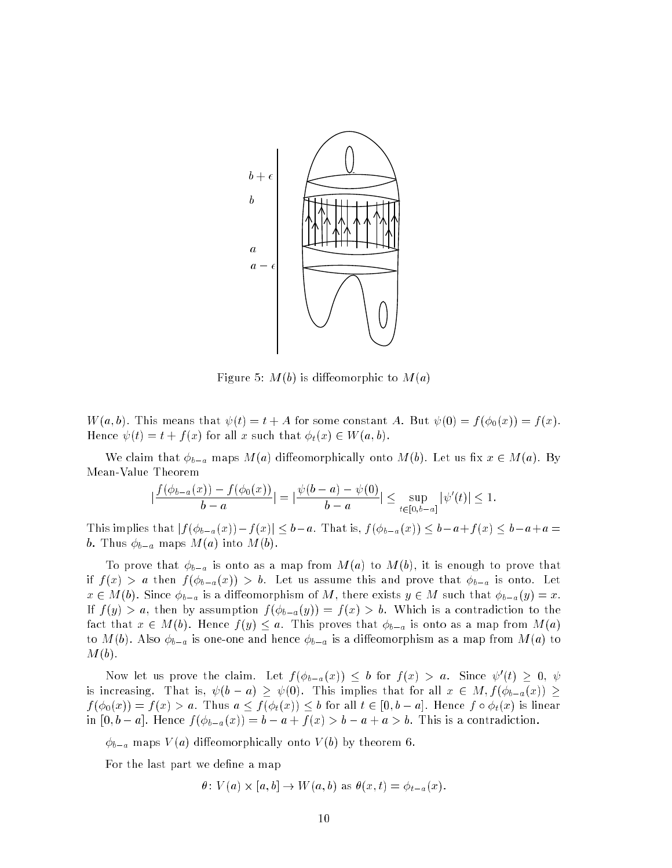

Figure 5:  $M(b)$  is diffeomorphic to  $M(a)$ 

 $W(a, b)$ . This means that  $\psi(t) = t + A$  for some constant A. But  $\psi(0) = f(\phi_0(x)) = f(x)$ . Hence  $\psi(t) = t + f(x)$  for all x such that  $\phi_t(x) \in W(a, b)$ .

We claim that  $\phi_{b-a}$  maps  $M(a)$  diffeomorphically onto  $M(b)$ . Let us fix  $x \in M(a)$ . By Mean-Value Theorem

$$
\left|\frac{f(\phi_{b-a}(x))-f(\phi_0(x))}{b-a}\right| = \left|\frac{\psi(b-a)-\psi(0)}{b-a}\right| \leq \sup_{t \in [0,b-a]} |\psi'(t)| \leq 1.
$$

This implies that  $|f(\phi_{b-a}(x))-f(x)| \leq b-a$ . That is,  $f(\phi_{b-a}(x)) \leq b-a+f(x) \leq b-a+a$ b. Thus  $\phi_{b-a}$  maps  $M(a)$  into  $M(b)$ .

To prove that  $\phi_{b-a}$  is onto as a map from  $M(a)$  to  $M(b)$ , it is enough to prove that if  $f(x) > a$  then  $f(\phi_{b-a}(x)) > b$ . Let us assume this and prove that  $\phi_{b-a}$  is onto. Let  $x \in M(b)$ . Since  $\phi_{b-a}$  is a diffeomorphism of M, there exists  $y \in M$  such that  $\phi_{b-a}(y) = x$ . If  $f(y) > a$ , then by assumption  $f(\phi_{b-a}(y)) = f(x) > b$ . Which is a contradiction to the fact that  $x \in M(b)$ . Hence  $f(y) \leq a$ . This proves that  $\phi_{b-a}$  is onto as a map from  $M(a)$ to  $M(b)$ . Also  $\phi_{b-a}$  is one-one and hence  $\phi_{b-a}$  is a diffeomorphism as a map from  $M(a)$  to  $M(b)$ .

Now let us prove the claim. Let  $f(\varphi_{b-a}(x)) \leq b$  for  $f(x) > a$ . Since  $\psi(t) \geq 0, \, \psi$ is increasing. That is,  $\psi(b-a) \geq \psi(0)$ . This implies that for all  $x \in M$ ,  $f(\phi_{b-a}(x)) \geq$  $f$  (f  $0$ )  $\alpha$  ,  $f$  (f)  $f$  are form as an  $f$  (f) (t) is linear and the control of  $f$  and  $f$  is linear and the control of  $f$  (f)  $f$  (f)  $f$  (f)  $f$  (f)  $f$  (f)  $f$  (f)  $f$  (f)  $f$  (f)  $f$  (f)  $f$  (f)  $f$  (f)  $f$  ( in film and finite finite formation and the film of the film of the finite finite finite finite finite finite

 $\phi_{b-a}$  maps  $V(a)$  diffeomorphically onto  $V(b)$  by theorem 6.

For the last part we define a map

: V (a) - [a; b℄ ! W(a; b) as (x; t) = ta(x):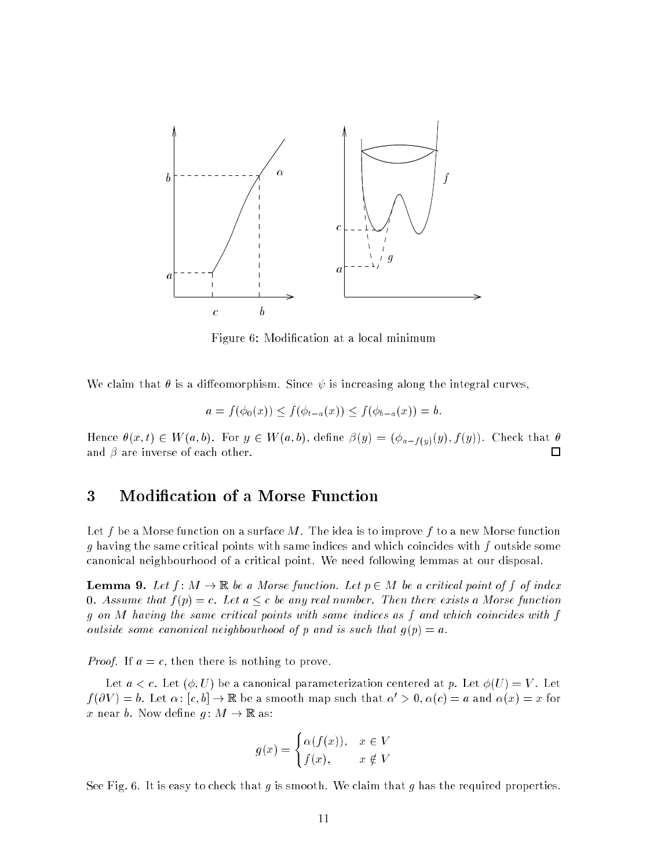

Figure 6: Modification at a local minimum

We claim that  $\theta$  is a diffeomorphism. Since  $\psi$  is increasing along the integral curves,

$$
a = f(\phi_0(x)) \le f(\phi_{t-a}(x)) \le f(\phi_{b-a}(x)) = b.
$$

Hence  $\theta(x,t) \in W(a,b)$ . For  $y \in W(a,b)$ , define  $\beta(y) = (\phi_{a-f(y)}(y), f(y))$ . Check that  $\theta$ and  $\beta$  are inverse of each other.  $\Box$ 

#### 3 Modification of a Morse Function

Let f be a Morse function on a surface M. The idea is to improve f to a new Morse function g having the same critical points with same indices and which coincides with f outside some anoni
al neighbourhood of a 
riti
al point. We need following lemmas at our disposal.

**Lemma 9.** Let  $f: M \to \mathbb{R}$  be a Morse function. Let  $p \in M$  be a critical point of f of index 0. Assume that  $f(p) = c$ . Let  $a \leq c$  be any real number. Then there exists a Morse function  $g$  on  $M$  having the same critical points with same indices as  $f$  and which coincides with  $f$ outside some canonical neighbourhood of p and is such that  $q(p) = a$ .

*Proof.* If  $a = c$ , then there is nothing to prove.

Let  $a < c$ . Let  $(\phi, U)$  be a canonical parameterization centered at p. Let  $\phi(U) = V$ . Let  $f(\partial V) = b$ . Let  $\alpha: [c, b] \to \mathbb{R}$  be a smooth map such that  $\alpha' > 0, \alpha(c) = a$  and  $\alpha(x) = x$  for x near b. Now define  $g: M \to \mathbb{R}$  as:

$$
g(x) = \begin{cases} \alpha(f(x)), & x \in V \\ f(x), & x \notin V \end{cases}
$$

See Fig. 6. It is easy to check that q is smooth. We claim that q has the required properties.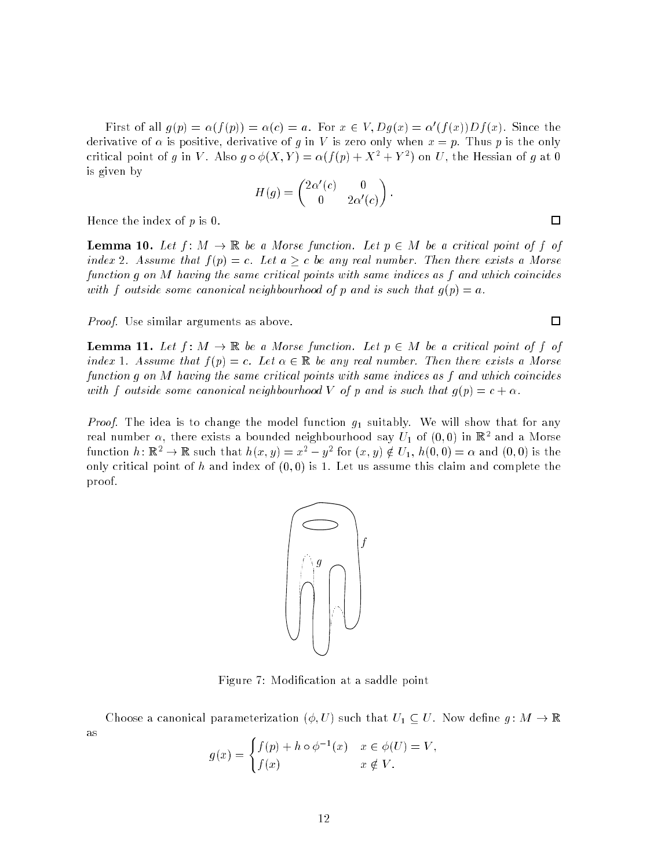First of an  $q(p) = \alpha(f(p)) = \alpha(c) = a$ . For  $x \in V$ ,  $Dq(x) = \alpha(f(x))Df(x)$ . Since the derivative of  $\alpha$  is positive, derivative of g in V is zero only when  $x = p$ . Thus p is the only critical point of g in V. Also  $q \circ \phi(A, Y) = \alpha(f(p) + A^{-} + Y^{-})$  on U, the riessian of g at U is given by

$$
H(g) = \begin{pmatrix} 2\alpha'(c) & 0\\ 0 & 2\alpha'(c) \end{pmatrix}
$$

Hence the index of  $p$  is 0.

**Lemma 10.** Let  $f : M \to \mathbb{R}$  be a Morse function. Let  $p \in M$  be a critical point of f of index 2. Assume that  $f(p) = c$ . Let  $a \geq c$  be any real number. Then there exists a Morse function g on M having the same critical points with same indices as f and which coincides with f outside some canonical neighbourhood of p and is such that  $g(p) = a$ .

Proof. Use similar arguments as above.

**Lemma 11.** Let  $f: M \to \mathbb{R}$  be a Morse function. Let  $p \in M$  be a critical point of f of index 1. Assume that  $f(p) = c$ . Let  $\alpha \in \mathbb{R}$  be any real number. Then there exists a Morse function q on M having the same critical points with same indices as f and which coincides with f outside some canonical neighbourhood V of p and is such that  $q(p) = c + \alpha$ .

*Proof.* The idea is to change the model function  $g_1$  suitably. We will show that for any real number  $\alpha$ , there exists a bounded neighbourhood say  $U_1$  of  $(0,0)$  in  $\mathbb{R}^2$  and a morse function  $n: \mathbb{R}^+ \to \mathbb{R}$  such that  $n(x, y) = x^+ - y^-$  for  $(x, y) \notin U_1$ ,  $n(0, 0) = \alpha$  and  $(0, 0)$  is the only critical point of h and index of  $(0,0)$  is 1. Let us assume this claim and complete the proof.



Choose a canonical parameterization  $(\phi, U)$  such that  $U_1 \subseteq U$ . Now define  $g: M \to \mathbb{R}$ as

$$
g(x) = \begin{cases} f(p) + h \circ \phi^{-1}(x) & x \in \phi(U) = V, \\ f(x) & x \notin V. \end{cases}
$$

PSfrag repla
ements f  $\mathbf{r}$ 

 $\Box$ 

 $\Box$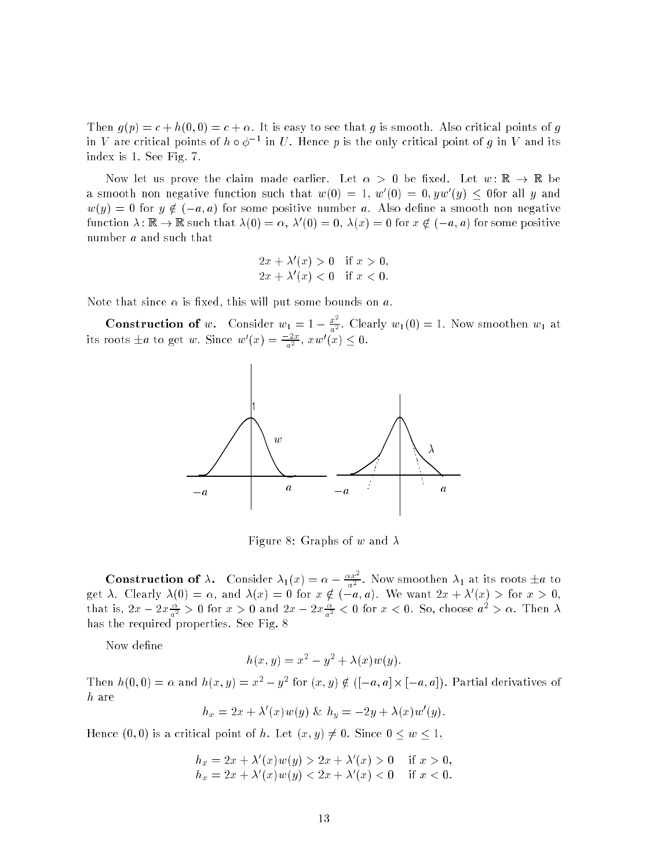Then  $g(p) = c + h(0,0) = c + \alpha$ . It is easy to see that g is smooth. Also critical points of g in v are critical points of  $n \circ \phi^{-1}$  in  $U$  . Hence  $p$  is the only critical point of  $q$  in v and its index is 1. See Fig. 7.

Now let us prove the claim made earlier. Let  $\alpha > 0$  be fixed. Let  $w : \mathbb{R} \to \mathbb{R}$  be a smooth non negative function such that  $w(0) = 1, w(0) = 0, yw(y) < 0$ for all y and  $w(y) = 0$  for  $y \notin (-a, a)$  for some positive number a. Also define a smooth non negative function  $\lambda: \mathbb{R} \to \mathbb{R}$  such that  $\lambda(0) = \alpha$ ,  $\lambda(0) = 0$ ,  $\lambda(x) = 0$  for  $x \notin (-a, a)$  for some positive number *a* and such that

$$
2x + \lambda'(x) > 0 \quad \text{if } x > 0,
$$
  

$$
2x + \lambda'(x) < 0 \quad \text{if } x < 0.
$$

Note that since  $\alpha$  is fixed, this will put some bounds on a.

**Construction of** w. Consider  $w_1 = 1 - \frac{x^2}{a^2}$ . Clearly  $w_1(0) = 1$ . Now smoothen  $w_1$  at its roots  $\pm a$  to get w. Since  $w(x) = \frac{a}{a^2}$ ,  $xw(x) \leq 0$ .



Figure 8: Graphs of w and  $\lambda$ 

**Construction of**  $\lambda$ . Consider  $\lambda_1(x) = \alpha - \frac{\alpha x^2}{a^2}$ . Now smoothen  $\lambda_1$  at its roots  $\pm a$  to get  $\lambda$ . Clearly  $\lambda(0) = \alpha$ , and  $\lambda(x) = 0$  for  $x \notin (-a, a)$ . We want  $2x + \lambda(x) > 1$ or  $x > 0$ , that is,  $2x - 2x \frac{1}{a^2} > 0$  for  $x > 0$  and  $2x - 2x \frac{1}{a^2} < 0$  for  $x < 0$ . So, choose  $a^2 > \alpha$ . Then  $\lambda$ has the required properties. See Fig. 8

Now define

$$
h(x, y) = x2 - y2 + \lambda(x)w(y).
$$

Then  $n(0,0) = \alpha$  and  $n(x, y) = x^2 - y^2$  for  $(x, y) \notin (-a, a | X | -a, a])$ . Partial derivatives of h are

$$
h_x = 2x + \lambda'(x)w(y) \& h_y = -2y + \lambda(x)w'(y).
$$

Hence  $(0,0)$  is a critical point of h. Let  $(x,y) \neq 0$ . Since  $0 \leq w \leq 1$ ,

$$
h_x = 2x + \lambda'(x)w(y) > 2x + \lambda'(x) > 0 \quad \text{if } x > 0,
$$
  
\n
$$
h_x = 2x + \lambda'(x)w(y) < 2x + \lambda'(x) < 0 \quad \text{if } x < 0.
$$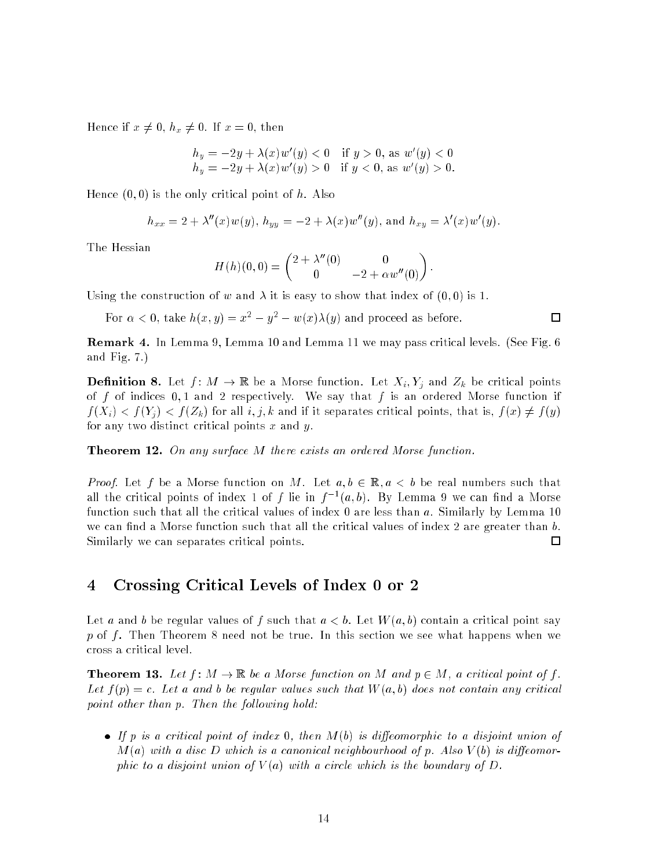Hence if  $x \neq 0$ ,  $h_x \neq 0$ . If  $x = 0$ , then

$$
h_y = -2y + \lambda(x) w'(y) < 0 \quad \text{if } y > 0, \text{ as } w'(y) < 0
$$
  
\n
$$
h_y = -2y + \lambda(x) w'(y) > 0 \quad \text{if } y < 0, \text{ as } w'(y) > 0.
$$

Hence  $(0,0)$  is the only critical point of h. Also

$$
h_{xx} = 2 + \lambda''(x)w(y), h_{yy} = -2 + \lambda(x)w''(y), \text{ and } h_{xy} = \lambda'(x)w'(y).
$$

The Hessian

$$
H(h)(0,0) = \begin{pmatrix} 2 + \lambda''(0) & 0 \\ 0 & -2 + \alpha w''(0) \end{pmatrix}.
$$

Using the construction of w and  $\lambda$  it is easy to show that index of  $(0,0)$  is 1.

For  $\alpha < 0$ , take  $n(x, y) = x^2 - y^2 - w(x) \lambda(y)$  and proceed as before.

□

**Remark 4.** In Lemma 9, Lemma 10 and Lemma 11 we may pass critical levels. (See Fig. 6) and Fig. 7.)

**Definition 8.** Let  $f: M \to \mathbb{R}$  be a Morse function. Let  $X_i, Y_j$  and  $Z_k$  be critical points of f of indices  $0, 1$  and 2 respectively. We say that f is an ordered Morse function if  $f(X_i) < f(Y_i) < f(Z_k)$  for all  $i, j, k$  and if it separates critical points, that is,  $f(x) \neq f(y)$ for any two distinct critical points  $x$  and  $y$ .

**Theorem 12.** On any surface M there exists an ordered Morse function.

*Proof.* Let f be a Morse function on M. Let  $a, b \in \mathbb{R}$ ,  $a < b$  be real numbers such that all the critical points of moex 1 of  $\bar{f}$  ne in  $\bar{f}$  (a,b). By Lemma 9 we can find a morse function such that all the critical values of index 0 are less than a. Similarly by Lemma 10 we can find a Morse function such that all the critical values of index 2 are greater than  $b$ . Similarly we can separates critical points. □

### 4 Crossing Criti
al Levels of Index 0 or 2

Let a and b be regular values of f such that  $a < b$ . Let  $W(a, b)$  contain a critical point say  $p$  of  $f$ . Then Theorem 8 need not be true. In this section we see what happens when we ross a 
riti
al level.

**Theorem 13.** Let  $f: M \to \mathbb{R}$  be a Morse function on M and  $p \in M$ , a critical point of f. Let  $f(p) = c$ . Let a and b be regular values such that  $W(a, b)$  does not contain any critical point other than p. Then the following hold:

• If p is a critical point of index 0, then  $M(b)$  is diffeomorphic to a disjoint union of  $M(a)$  with a disc D which is a canonical neighbourhood of p. Also  $V(b)$  is diffeomorphic to a disjoint union of  $V(a)$  with a circle which is the boundary of D.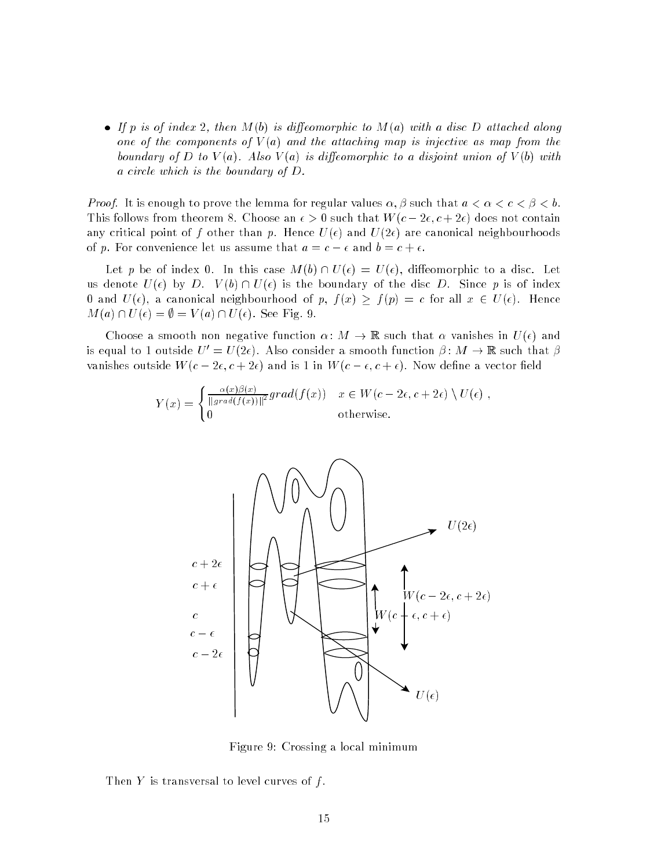• If p is of index 2, then  $M(b)$  is diffeomorphic to  $M(a)$  with a disc D attached along one of the components of  $V(a)$  and the attaching map is injective as map from the boundary of D to  $V(a)$ . Also  $V(a)$  is diffeomorphic to a disjoint union of  $V(b)$  with a circle which is the boundary of D.

*Proof.* It is enough to prove the lemma for regular values  $\alpha, \beta$  such that  $a < \alpha < c < \beta < b$ . This follows from theorem 8. Choose an  $\epsilon > 0$  such that  $W(c - 2\epsilon, c + 2\epsilon)$  does not contain any critical point of f other than p. Hence  $U(\epsilon)$  and  $U(2\epsilon)$  are canonical neighbourhoods of p. For convenience let us assume that  $a = c - \epsilon$  and  $b = c + \epsilon$ .

Let p be of index 0. In this case  $M(b) \cap U(\epsilon) = U(\epsilon)$ , diffeomorphic to a disc. Let us denote  $U(\epsilon)$  by D.  $V(b) \cap U(\epsilon)$  is the boundary of the disc D. Since p is of index 0 and  $U(\epsilon)$ , a canonical neighbourhood of p,  $f(x) \ge f(p) = c$  for all  $x \in U(\epsilon)$ . Hence  $M(a) \cap U(\epsilon) = \emptyset = V(a) \cap U(\epsilon)$ . See Fig. 9.

Choose a smooth non negative function  $\alpha \colon M \to \mathbb{R}$  such that  $\alpha$  vanishes in  $U(\epsilon)$  and is equal to 1 outside  $U' = U(2\epsilon)$ . Also consider a smooth function  $\beta: M \to \mathbb{R}$  such that  $\beta$ vanishes outside  $W(c-2\epsilon, c+2\epsilon)$  and is 1 in  $W(c-\epsilon, c+\epsilon)$ . Now define a vector field

$$
Y(x) = \begin{cases} \frac{\alpha(x)\beta(x)}{\|grad(f(x))\|^2} grad(f(x)) & x \in W(c - 2\epsilon, c + 2\epsilon) \setminus U(\epsilon) ,\\ 0 & \text{otherwise.} \end{cases}
$$



Figure 9: Crossing a lo
al minimum

Then Y is transversal to level curves of  $f$ .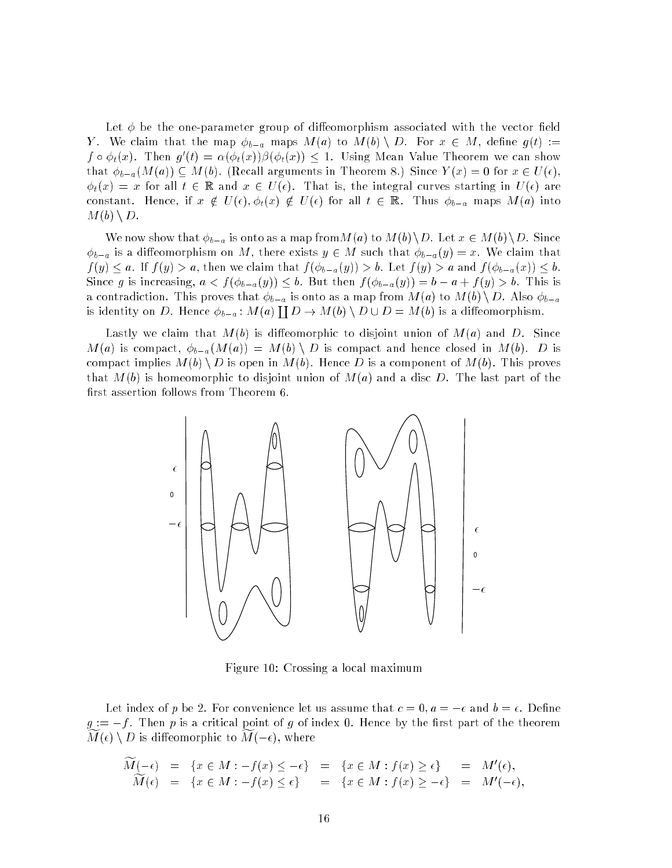Let  $\phi$  be the one-parameter group of diffeomorphism associated with the vector field Y. We claim that the map  $\phi_{b-a}$  maps  $M(a)$  to  $M(b) \setminus D$ . For  $x \in M$ , define  $g(t) :=$  $f \circ \varphi_t(x)$ . Then  $g(t) = \alpha(\varphi_t(x)) \varphi_t(x)$   $\vert \leq 1$ . Using Mean Value Theorem we can show that  $\phi_{b-a}(M(a)) \subseteq M(b)$ . (Recall arguments in Theorem 8.) Since  $Y(x) = 0$  for  $x \in U(\epsilon)$ ,  $\phi_t(x) = x$  for all  $t \in \mathbb{R}$  and  $x \in U(\epsilon)$ . That is, the integral curves starting in  $U(\epsilon)$  are constant. Hence, if  $x \notin U(\epsilon)$ ,  $\phi_t(x) \notin U(\epsilon)$  for all  $t \in \mathbb{R}$ . Thus  $\phi_{b-a}$  maps  $M(a)$  into  $M(b) \setminus D$ .

We now show that  $\phi_{b-a}$  is onto as a map from  $M(a)$  to  $M(b)\backslash D$ . Let  $x \in M(b)\backslash D$ . Since  $\phi_{b-a}$  is a diffeomorphism on M, there exists  $y \in M$  such that  $\phi_{b-a}(y) = x$ . We claim that  $f(y) \leq a$ . If  $f(y) > a$ , then we claim that  $f(\phi_{b-a}(y)) > b$ . Let  $f(y) > a$  and  $f(\phi_{b-a}(x)) \leq b$ . Since g is increasing,  $a < f(\phi_{b-a}(y)) \leq b$ . But then  $f(\phi_{b-a}(y)) = b - a + f(y) > b$ . This is a contradiction. This proves that  $\phi_{b-a}$  is onto as a map from  $M(a)$  to  $M(b) \setminus D$ . Also  $\phi_{b-a}$ is in the basic on the basic on the basic on  $D$  is the basic on  $D$ --D : M(b) n D = M(b) is a dieomorphism. Die morphism is a dieomorphism. Die morphism is a die omdat was die omd

Lastly we claim that  $M(b)$  is diffeomorphic to disjoint union of  $M(a)$  and D. Since  $M(a)$  is compact,  $\phi_{b-a}(M(a)) = M(b) \setminus D$  is compact and hence closed in  $M(b)$ . D is compact implies  $M(b) \setminus D$  is open in  $M(b)$ . Hence D is a component of  $M(b)$ . This proves that  $M(b)$  is homeomorphic to disjoint union of  $M(a)$  and a disc D. The last part of the first assertion follows from Theorem 6.



Figure 10: Crossing a lo
al maximum

Let index of p be 2. For convenience let us assume that  $c=0, a=-\epsilon$  and  $b=\epsilon$ . Define  $g := -f$ . Then p is a critical point of g of index 0. Hence by the first part of the theorem  $M(\epsilon) \setminus D$  is diffeomorphic to  $M(-\epsilon)$ , where

$$
\widetilde{M}(-\epsilon) = \{x \in M : -f(x) \leq -\epsilon\} = \{x \in M : f(x) \geq \epsilon\} = M'(\epsilon),
$$
  
\n
$$
\widetilde{M}(\epsilon) = \{x \in M : -f(x) \leq \epsilon\} = \{x \in M : f(x) \geq -\epsilon\} = M'(-\epsilon),
$$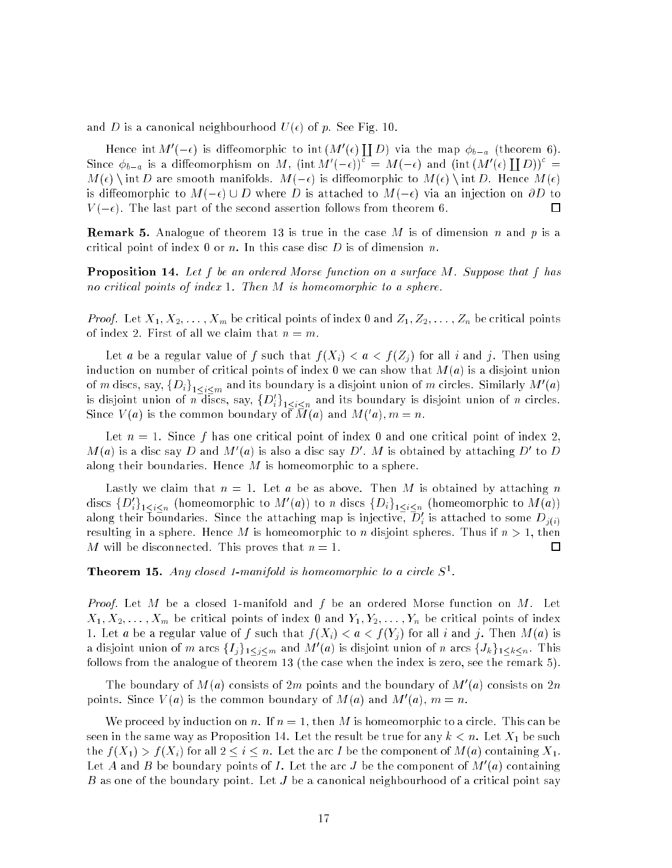and D is a canonical neighbourhood  $U(\epsilon)$  of p. See Fig. 10.

--Hence int  $M$  ( $-\epsilon$ ) is diffeomorphic to interm ( $\epsilon$ ) D) via the map ba (theorem 6).  $[\![D]\!]^c =$ Since  $\phi_{b-a}$  is a diffeomorphism on M,  $(\inf M)(-\epsilon)$  =  $M(-\epsilon)$  and  $(\inf (M'(\epsilon))$  $M(\epsilon) \setminus \text{int } D$  are smooth manifolds.  $M(-\epsilon)$  is diffeomorphic to  $M(\epsilon) \setminus \text{int } D$ . Hence  $M(\epsilon)$ is diffeomorphic to  $M(-\epsilon) \cup D$  where D is attached to  $M(-\epsilon)$  via an injection on  $\partial D$  to  $V(-\epsilon)$ . The last part of the second assertion follows from theorem 6.  $\Box$ 

**Remark 5.** Analogue of theorem 13 is true in the case M is of dimension n and p is a critical point of index  $0$  or  $n$ . In this case disc  $D$  is of dimension  $n$ .

**Proposition 14.** Let f be an ordered Morse function on a surface M. Suppose that f has no critical points of index 1. Then M is homeomorphic to a sphere.

*Proof.* Let  $X_1, X_2, \ldots, X_m$  be critical points of index 0 and  $Z_1, Z_2, \ldots, Z_n$  be critical points of index 2. First of all we claim that  $n = m$ .

Let a be a regular value of f such that  $f(X_i) < a < f(Z_i)$  for all i and j. Then using induction on number of critical points of index 0 we can show that  $M(a)$  is a disjoint union of m discs, say,  $\{D_i\}_{1 \leq i \leq m}$  and its boundary is a disjoint union of m circles. Similarly M  $(a)$ is disjoint union of *n* discs, say,  $\{D_i\}_{1 \leq i \leq n}$  and its boundary is disjoint union of *n* circles. Since  $V(u)$  is the common boundary of M(a) and M(a),  $m = n$ .

Let  $n = 1$ . Since f has one critical point of index 0 and one critical point of index 2.  $M(a)$  is a disc say  $D$  and  $M$  (a) is also a disc say  $D$  .  $M$  is obtained by attaching  $D$  to  $D$ along their boundaries. Hence  $M$  is homeomorphic to a sphere.

Lastly we claim that  $n = 1$ . Let a be as above. Then M is obtained by attaching n discs  $\{D_i\}_{1 \leq i \leq n}$  (nomeomorphic to M (d)) to n discs  $\{D_i\}_{1 \leq i \leq n}$  (nomeomorphic to M(d)) along their boundaries. Since the attaching map is injective,  $D_i$  is attached to some  $D_{j(i)}$ resulting in a sphere. Hence M is homeomorphic to n disjoint spheres. Thus if  $n > 1$ , then M will be disconnected. This proves that  $n=1$ .  $\Box$ 

**Theorem 15.** Any closed 1-manifold is nomeomorphic to a circle  $S^{\dagger}$ .

*Proof.* Let M be a closed 1-manifold and f be an ordered Morse function on M. Let  $X_1, X_2, \ldots, X_m$  be critical points of index 0 and  $Y_1, Y_2, \ldots, Y_n$  be critical points of index 1. Let a be a regular value of f such that  $f(X_i) < a < f(Y_j)$  for all i and j. Then  $M(a)$  is a disjoint union of m arcs  $\{T_i\}_{1\leqslant i\leqslant m}$  and M (a) is disjoint union of n arcs  $\{J_k\}_{1\leqslant k\leqslant n}$ . This follows from the analogue of theorem 13 (the case when the index is zero, see the remark 5).

The boundary of M(a) consists of 2m points and the boundary of M (a) consists on 2n points. Since  $V(a)$  is the common boundary of  $M(a)$  and  $M(a)$ ,  $m = n$ .

We proceed by induction on n. If  $n = 1$ , then M is homeomorphic to a circle. This can be seen in the same way as Proposition 14. Let the result be true for any  $k < n$ . Let  $X_1$  be such the  $f(X_1) > f(X_i)$  for all  $2 \leq i \leq n$ . Let the arc I be the component of  $M(a)$  containing  $X_1$ . Let A and B be boundary points of I. Let the arc J be the component of  $M$  (a) containing B as one of the boundary point. Let J be a canonical neighbourhood of a critical point say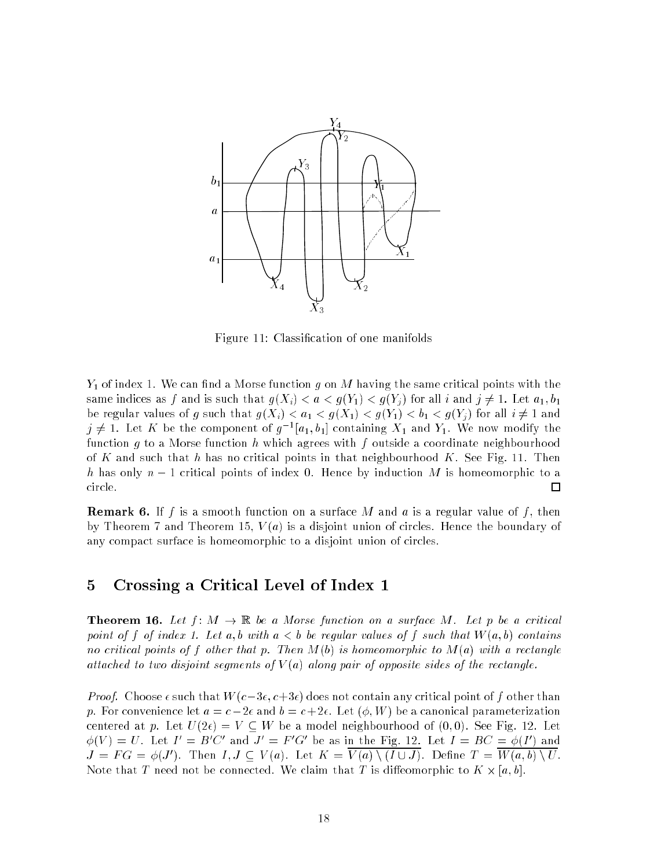

Figure 11: Classification of one manifolds

 $Y_1$  of index 1. We can find a Morse function g on M having the same critical points with the same indices as f and is such that  $g(X_i) < a < g(Y_1) < g(Y_i)$  for all i and  $j \neq 1$ . Let  $a_1, b_1$ be regular values of g such that  $g(X_i) < a_1 < g(X_1) < g(Y_1) < b_1 < g(Y_j)$  for all  $i \neq 1$  and  $j\neq 1.$  Let  $K$  be the component of  $g^{-1}[a_1, o_1]$  containing  $\Lambda_1$  and  $Y_1.$  We now modify the function q to a Morse function h which agrees with f outside a coordinate neighbourhood of K and such that h has no critical points in that neighbourhood K. See Fig. 11. Then h has only  $n-1$  critical points of index 0. Hence by induction M is homeomorphic to a ir
le. □

**Remark 6.** If f is a smooth function on a surface M and a is a regular value of f, then by Theorem 7 and Theorem 15,  $V(a)$  is a disjoint union of circles. Hence the boundary of any compact surface is homeomorphic to a disjoint union of circles.

### 5 Crossing a Criti
al Level of Index 1

**Theorem 16.** Let  $f: M \to \mathbb{R}$  be a Morse function on a surface M. Let p be a critical point of f of index 1. Let a, b with  $a < b$  be regular values of f such that  $W(a, b)$  contains no critical points of f other that p. Then  $M(b)$  is homeomorphic to  $M(a)$  with a rectangle attached to two disjoint segments of  $V(a)$  along pair of opposite sides of the rectangle.

*Proof.* Choose  $\epsilon$  such that  $W(c-3\epsilon, c+3\epsilon)$  does not contain any critical point of f other than p. For convenience let  $a = c - 2\epsilon$  and  $b = c + 2\epsilon$ . Let  $(\phi, W)$  be a canonical parameterization centered at p. Let  $U(2\epsilon) = V \subset W$  be a model neighbourhood of  $(0,0)$ . See Fig. 12. Let  $\varphi(V) = U$ . Let  $I = B U$  and  $J = F G$  be as in the Fig. 12. Let  $I = B U = \varphi(I)$  and  $J = F G = \varphi(J)$ . Then  $I, J \subseteq V(a)$ . Let  $K = V(a) \setminus (I \cup J)$ . Define  $I = W(a, 0) \setminus U$ . ted. We to the T need to the ted. We have the control to the control the second that  $\mathcal{W}$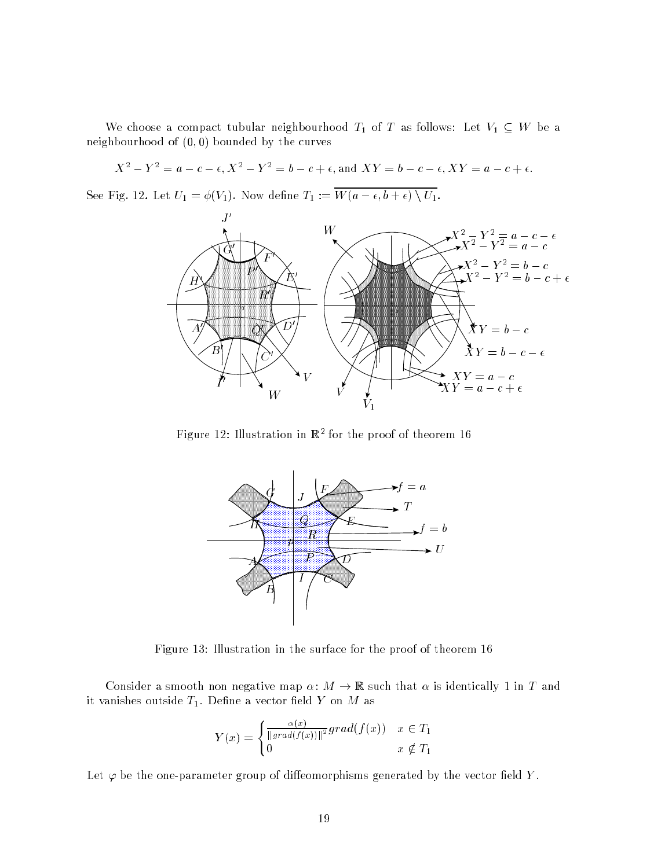We choose a compact tubular neighbourhood  $T_1$  of T as follows: Let  $V_1 \subseteq W$  be a neighbourhood of  $(0,0)$  bounded by the curves

$$
X^{2} - Y^{2} \mathfrak{g} = a - c - \epsilon, X^{2} - Y^{2} = b - c + \epsilon, \text{ and } XY = b - c - \epsilon, XY = a - c + \epsilon.
$$

See Fig. 12. Let  $U_1 = \phi(V_1)$ . Now define  $T_1 := \overline{W(a - \epsilon, b + \epsilon) \setminus U_1}$ .



Figure 12: Illustration in R2 for the proof of theorem 16



Figure 13: Illustration in the surfa
e for the proof of theorem 16

Consider a smooth non negative map  $\alpha: M \to \mathbb{R}$  such that  $\alpha$  is identically 1 in T and it vanishes outside  $T_1$ . Define a vector field Y on M as

$$
Y(x) = \begin{cases} \frac{\alpha(x)}{\|grad(f(x))\|^2} grad(f(x)) & x \in T_1 \\ 0 & x \notin T_1 \end{cases}
$$

Let  $\varphi$  be the one-parameter group of diffeomorphisms generated by the vector field Y.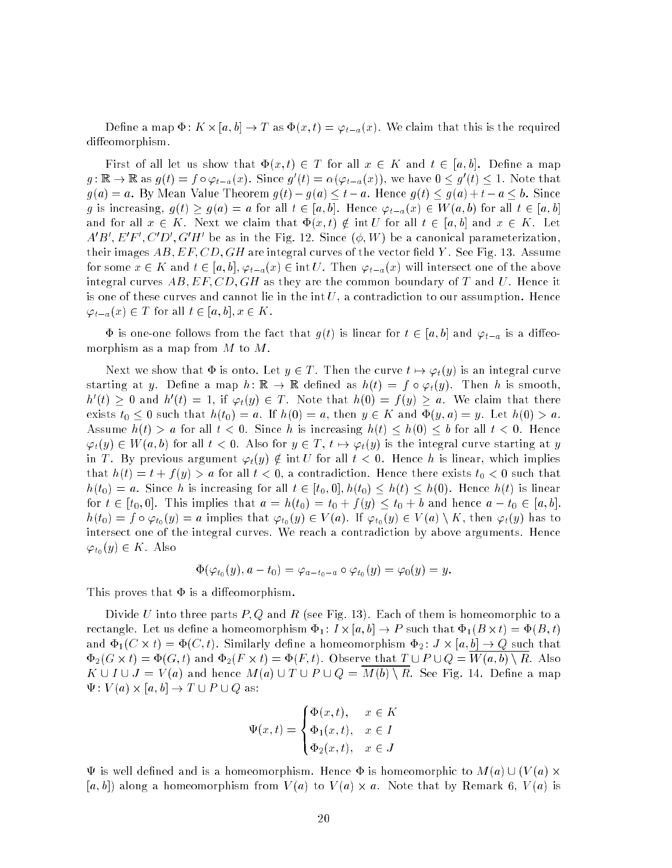Denne a map  $\Psi\colon K\times [a,b]\to T$  as  $\Psi(x,t)=\varphi_{t-a}(x).$  We claim that this is the required diffeomorphism.

First of all let us show that  $\Phi(x, t) \in T$  for all  $x \in K$  and  $t \in [a, b]$ . Define a map  $g: \mathbb{R} \to \mathbb{R}$  as  $g(t) = f \circ \varphi_{t-a}(x)$ . Since  $g'(t) = \alpha(\varphi_{t-a}(x))$ , we have  $0 \leq g'(t) \leq 1$ . Note that  $g(a) = a$ . By Mean Value Theorem  $g(t) - g(a) \le t - a$ . Hence  $g(t) \le g(a) + t - a \le b$ . Since g is increasing,  $g(t) \ge g(a) = a$  for all  $t \in [a, b]$ . Hence  $\varphi_{t-a}(x) \in W(a, b)$  for all  $t \in [a, b]$ and for all  $x \in K$ . Next we claim that  $\Phi(x, t) \notin \text{int } U$  for all  $t \in [a, b]$  and  $x \in K$ . Let A B , E F , C D , G H be as in the Fig. 12. Since  $(\varphi, \psi)$  be a canonical parameterization, their images  $AB, EF, CD, GH$  are integral curves of the vector field Y. See Fig. 13. Assume for some  $x \in K$  and  $t \in [a, b], \varphi_{t-a}(x) \in \text{int } U$ . Then  $\varphi_{t-a}(x)$  will intersect one of the above integral curves  $AB, EF, CD, GH$  as they are the common boundary of T and U. Hence it is one of these curves and cannot lie in the  $\text{int } U$ , a contradiction to our assumption. Hence  $\varphi_{t-a}(x) \in T$  for all  $t \in [a, b], x \in K$ .

 $\Phi$  is one-one follows from the fact that  $g(t)$  is linear for  $t \in [a, b]$  and  $\varphi_{t-a}$  is a diffeomorphism as a map from  $M$  to  $M$ .

Next we show that  $\Phi$  is onto. Let  $y \in T$ . Then the curve  $t \mapsto \varphi_t(y)$  is an integral curve starting at y. Define a map  $h: \mathbb{R} \to \mathbb{R}$  defined as  $h(t) = f \circ \varphi_t(y)$ . Then h is smooth,  $h^*(t) \geq 0$  and  $h^*(t) = 1,$  If  $\varphi_t(y) \in I$  . Note that  $h(0) = f(y) \geq a$ . We claim that there exists  $t_0 \leq 0$  such that  $h(t_0) = a$ . If  $h(0) = a$ , then  $y \in K$  and  $\Phi(y, a) = y$ . Let  $h(0) > a$ . Assume  $h(t) > a$  for all  $t < 0$ . Since h is increasing  $h(t) \leq h(0) \leq b$  for all  $t < 0$ . Hence  $\varphi_t(y) \in W(a, b)$  for all  $t < 0$ . Also for  $y \in T$ ,  $t \mapsto \varphi_t(y)$  is the integral curve starting at y in T. By previous argument  $\varphi_t(y) \notin \text{int } U$  for all  $t < 0$ . Hence h is linear, which implies that  $h(t) = t + f(y) > a$  for all  $t < 0$ , a contradiction. Hence there exists  $t_0 < 0$  such that  $h(t_0) = a$ . Since h is increasing for all  $t \in [t_0, 0], h(t_0) \leq h(t) \leq h(0)$ . Hence  $h(t)$  is linear for  $t \in [t_0, 0]$ . This implies that  $a = h(t_0) = t_0 + f(y) \le t_0 + b$  and hence  $a - t_0 \in [a, b]$ .  $h(t_0) = f \circ \varphi_{t_0}(y) = a$  implies that  $\varphi_{t_0}(y) \in V(a)$ . If  $\varphi_{t_0}(y) \in V(a) \setminus K$ , then  $\varphi_t(y)$  has to intersect one of the integral curves. We reach a contradiction by above arguments. Hence  $\varphi_{t_0}(y) \in K$ . Also

$$
\Phi(\varphi_{t_0}(y),a-t_0)=\varphi_{a-t_0-a}\circ\varphi_{t_0}(y)=\varphi_0(y)=y.
$$

This proves that  $\Phi$  is a diffeomorphism.

Divide U into three parts  $P, Q$  and R (see Fig. 13). Each of them is homeomorphic to a red tanglered a homeomorphism is a homeomorphism in the substitution of the substitution of the substitution of and 1, C - (C) - (C) - (C) - (C) - (C) - (C) - (C) - (C) - (C) - (C) - (C) - (C) - (C) - (C) - (C) - (C) - (C)  $\mathcal{L} = 2$  , we have the contract that  $\mathcal{L} = \{1, 1, 1\}$  . Observe that  $\mathcal{L} = \{2, 3, 4\}$  , and  $\mathcal{L} = \{1, 2, 3\}$  $K \cup I \cup J = V(a)$  and hence  $M(a) \cup T \cup P \cup Q = M(b) \setminus R$ . See Fig. 14. Define a map : V (a) - [a; b℄ ! T [ P [ Q as:

$$
\Psi(x,t) = \begin{cases} \Phi(x,t), & x \in K \\ \Phi_1(x,t), & x \in I \\ \Phi_2(x,t), & x \in J \end{cases}
$$

 $\Psi$  is well defined and is a homeomorphism. Hence  $\Phi$  is homeomorphic to  $M(a) \cup (V(a) \times$  $\{a,b,c\}$  are the contract of the position from  $\{a,b,c\}$  ,  $\{a,b,c\}$  ,  $\{a,b,c\}$  ,  $\{a,b,c\}$  ,  $\{a,b,c\}$  ,  $\{a,b,c\}$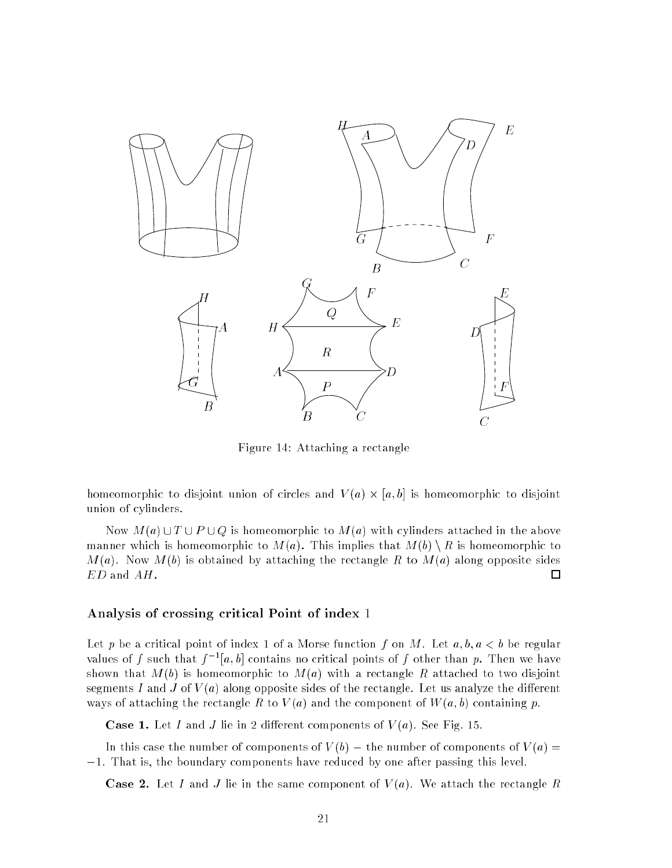

Figure 14: Attaching a rectangle

homeomorphi to disjoint union of ir
les and V (a) - [a; b℄ is homeomorphi to disjoint union of cylinders.

Now  $M(a) \cup T \cup P \cup Q$  is homeomorphic to  $M(a)$  with cylinders attached in the above manner which is homeomorphic to  $M(a)$ . This implies that  $M(b) \setminus R$  is homeomorphic to  $M(a)$ . Now  $M(b)$  is obtained by attaching the rectangle R to  $M(a)$  along opposite sides ED and AH.  $\Box$ 

#### Analysis of crossing critical Point of index 1

Let p be a critical point of index 1 of a Morse function f on M. Let  $a, b, a < b$  be regular values of f such that f  $\lceil a, b \rceil$  contains no critical points of f other than p. Then we have shown that  $M(b)$  is homeomorphic to  $M(a)$  with a rectangle R attached to two disjoint segments I and J of  $V(a)$  along opposite sides of the rectangle. Let us analyze the different ways of attaching the rectangle R to  $V(a)$  and the component of  $W(a, b)$  containing p.

**Case 1.** Let I and J lie in 2 different components of  $V(a)$ . See Fig. 15.

In this case the number of components of  $V(b)$  – the number of components of  $V(a)$ 1. That is, the boundary 
omponents have redu
ed by one after passing this level.

**Case 2.** Let I and J lie in the same component of  $V(a)$ . We attach the rectangle R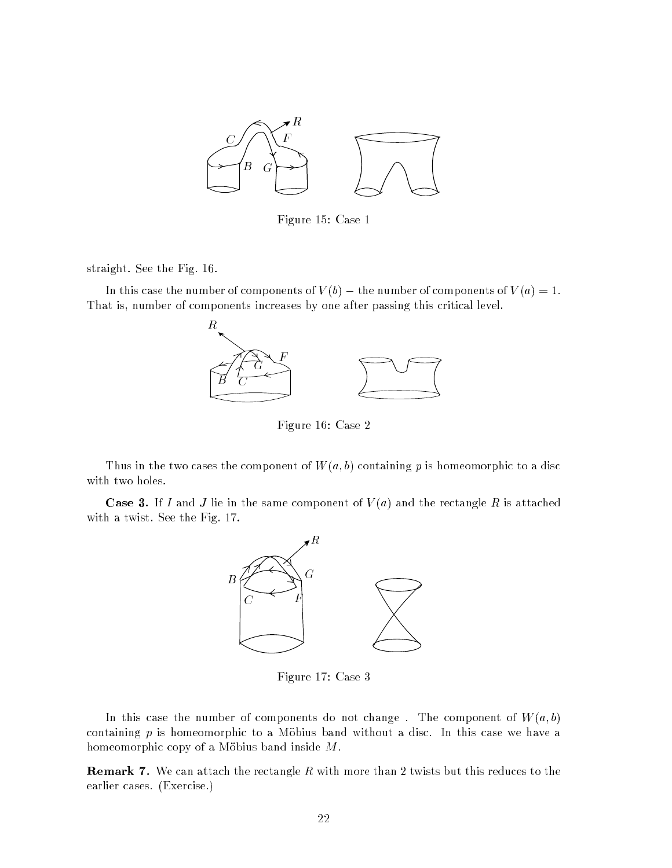

Figure 15: Case 1

straight. See the Fig. 16.

In this case the number of components of  $V(b)$  – the number of components of  $V(a) = 1$ . That is, number of components increases by one after passing this critical level.





Figure 16: Case 2

Thus in the two cases the component of  $W(a, b)$  containing p is homeomorphic to a disc with two holes.

**Case 3.** If I and J lie in the same component of  $V(a)$  and the rectangle R is attached with a twist. See the Fig. 17.



Figure 17: Case 3

In this case the number of components do not change. The component of  $W(a, b)$ containing  $p$  is homeomorphic to a Möbius band without a disc. In this case we have a homeomorphic copy of a Möbius band inside  $M$ .

**Remark 7.** We can attach the rectangle  $R$  with more than 2 twists but this reduces to the earlier cases. (Exercise.)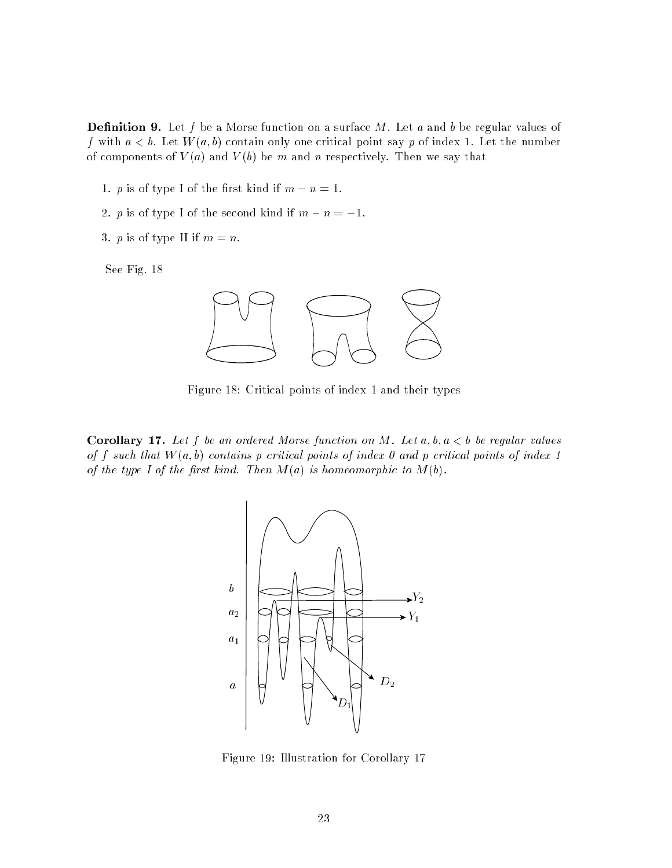**Definition 9.** Let f be a Morse function on a surface M. Let a and b be regular values of f with  $a < b$ . Let  $W(a, b)$  contain only one critical point say p of index 1. Let the number of components of  $V(a)$  and  $V(b)$  be m and n respectively. Then we say that

- 1. *p* is of type I of the first kind if  $m n = 1$ .
- 2. p is of type I of the second kind if  $m n = -1$ .
- 3. *p* is of type II if  $m = n$ .

See Fig. 18



Figure 18: Criti
al points of index 1 and their types

**Corollary 17.** Let f be an ordered Morse function on M. Let  $a, b, a < b$  be regular values of f such that  $W(a, b)$  contains p critical points of index 0 and p critical points of index 1 of the type I of the first kind. Then  $M(a)$  is homeomorphic to  $M(b)$ .



Figure 19: Illustration for Corollary 17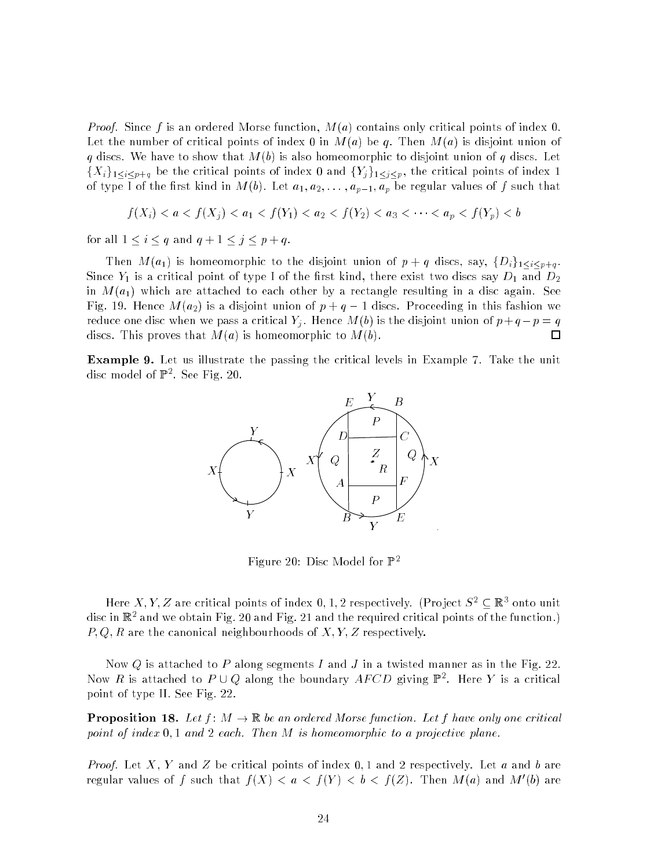*Proof.* Since f is an ordered Morse function,  $M(a)$  contains only critical points of index 0. Let the number of critical points of index 0 in  $M(a)$  be q. Then  $M(a)$  is disjoint union of q discs. We have to show that  $M(b)$  is also homeomorphic to disjoint union of q discs. Let  $\{X_i\}_{1\leq i\leq p+q}$  be the critical points of index 0 and  $\{Y_j\}_{1\leq j\leq p}$ , the critical points of index 1 of type I of the first kind in  $M(b)$ . Let  $a_1, a_2, \ldots, a_{p-1}, a_p$  be regular values of f such that

$$
f(X_i) < a < f(X_j) < a_1 < f(Y_1) < a_2 < f(Y_2) < a_3 < \cdots < a_p < f(Y_p) < b
$$

for all  $1 \leq i \leq q$  and  $q + 1 \leq j \leq p + q$ .

Then  $M(a_1)$  is homeomorphic to the disjoint union of  $p + q$  discs, say,  $\{D_i\}_{1 \leq i \leq p+q}$ . Since  $Y_1$  is a critical point of type I of the first kind, there exist two discs say  $D_1$  and  $D_2$ in  $M(a_1)$  which are attached to each other by a rectangle resulting in a disc again. See Fig. 19. Hence  $M(a_2)$  is a disjoint union of  $p + q - 1$  discs. Proceeding in this fashion we reduce one disc when we pass a critical  $Y_i$ . Hence  $M(b)$  is the disjoint union of  $p+q-p=q$  $\Box$ discs. This proves that  $M(a)$  is homeomorphic to  $M(b)$ .

**Example 9.** Let us illustrate the passing the critical levels in Example 7. Take the unit dis
 model of P2 . See Fig. 20.



Figure 20: Dis
 Model for P2

Here  $A$ ,  $I$ ,  $Z$  are critical points of index  $0$ ,  $1$ ,  $Z$  respectively. (Pro ject  $S^-\subseteq \mathbb{R}^+$  onto unit alse in K- and we obtain Fig. 20 and Fig. 21 and the required critical points of the function.)  $P, Q, R$  are the canonical neighbourhoods of  $X, Y, Z$  respectively.

Now Q is attached to P along segments I and J in a twisted manner as in the Fig. 22. Now  $R$  is attached to  $P \cup Q$  along the boundary  $A_{P} \cup D$  giving  $\mathbb{F}^{\ast}$ . Here  $Y$  is a critical point of type II. See Fig. 22.

**Proposition 18.** Let  $f: M \to \mathbb{R}$  be an ordered Morse function. Let f have only one critical point of index  $0, 1$  and  $2$  each. Then M is homeomorphic to a projective plane.

*Proof.* Let X, Y and Z be critical points of index 0, 1 and 2 respectively. Let a and b are regular values of  $\bar{f}$  such that  $f(X) < a < f(Y) < b < f(Z)$ . Then  $M(a)$  and  $M(0)$  are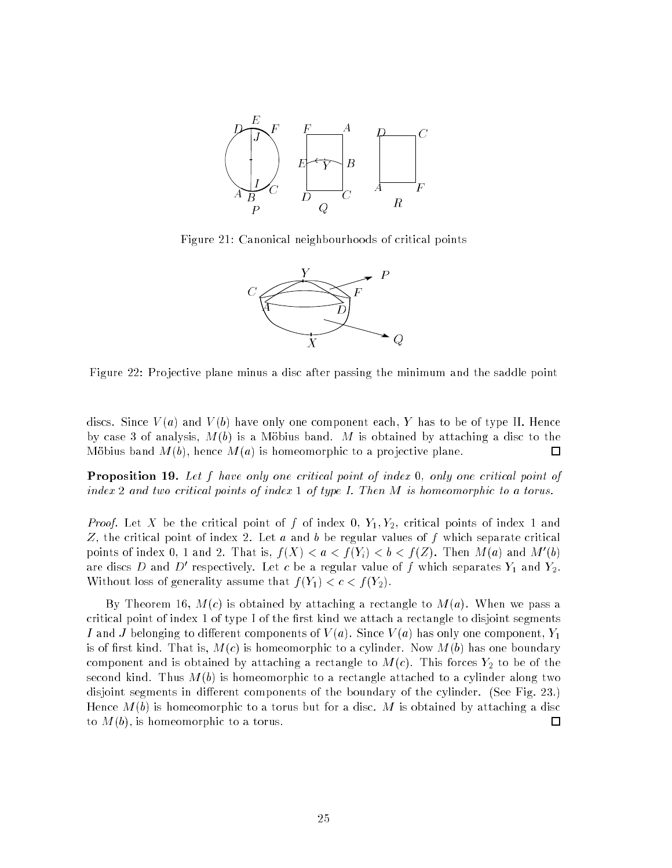

Figure 21:  $\beta$  anonical neighbourhoods of critical points



Figure 22: Projective plane minus a disc after passing the minimum and the saddle point

discs. Since  $V(a)$  and  $V(b)$  have only one component each, Y has to be of type II. Hence by case 3 of analysis,  $M(b)$  is a Möbius band. M is obtained by attaching a disc to the Möbius band  $M(b)$ , hence  $M(a)$  is homeomorphic to a projective plane.  $\Box$ 

**Proposition 19.** Let  $f$  have only one critical point of index 0, only one critical point of index 2 and two critical points of index 1 of type I. Then  $M$  is homeomorphic to a torus.

*Proof.* Let X be the critical point of f of index 0,  $Y_1, Y_2$ , critical points of index 1 and Z, the critical point of index 2. Let  $a$  and  $b$  be regular values of  $f$  which separate critical points of index 0, 1 and 2. That is,  $f(A) < a < f(Y_i) < b < f(Z)$ . Then  $M(a)$  and  $M(0)$ are discs  $D$  and  $D$  respectively. Let  $c$  be a regular value of  $f$  which separates  $\overline{Y}_1$  and  $\overline{Y}_2$ . Without loss of generality assume that  $f(Y_1) < c < f(Y_2)$ .

By Theorem 16,  $M(c)$  is obtained by attaching a rectangle to  $M(a)$ . When we pass a critical point of index 1 of type I of the first kind we attach a rectangle to disjoint segments I and J belonging to different components of  $V(a)$ . Since  $V(a)$  has only one component,  $Y_1$ is of first kind. That is,  $M(c)$  is homeomorphic to a cylinder. Now  $M(b)$  has one boundary component and is obtained by attaching a rectangle to  $M(c)$ . This forces  $Y_2$  to be of the second kind. Thus  $M(b)$  is homeomorphic to a rectangle attached to a cylinder along two disjoint segments in different components of the boundary of the cylinder. (See Fig. 23.) Hence  $M(b)$  is homeomorphic to a torus but for a disc. M is obtained by attaching a disc to  $M(b)$ , is homeomorphic to a torus.  $\Box$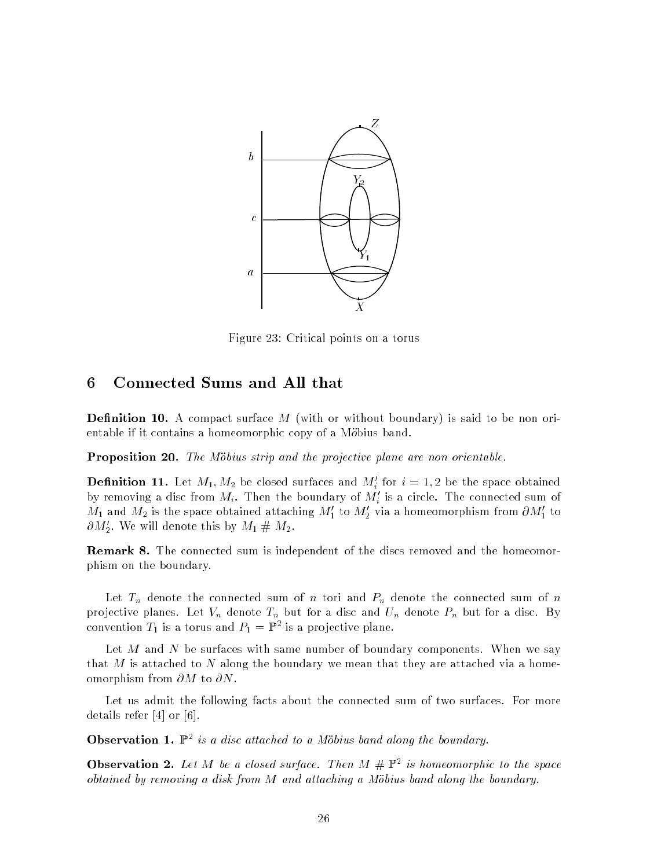

Figure 23: Criti
al points on a torus

### 6 Conne
ted Sums and All that

**Definition 10.** A compact surface  $M$  (with or without boundary) is said to be non orientable if it contains a homeomorphic copy of a Möbius band.

**Proposition 20.** The Möbius strip and the projective plane are non orientable.

**Definition 11.** Let  $M_1, M_2$  be closed surfaces and  $M_i$  for  $i = 1, 2$  be the space obtained by removing a disc from  $M_i$ . Then the boundary of  $M_i'$  is a circle. The connected sum of  $M_1$  and  $M_2$  is the space obtained attaching  $M_1'$  to  $M_2'$  via a homeomorphism from  $\partial M_1'$  to  $\sigma_{M_2}.$  we will denote this by  $M_1 \,\# \,M_2.$ 

**Remark 8.** The connected sum is independent of the discs removed and the homeomorphism on the boundary.

Let  $T_n$  denote the connected sum of n tori and  $P_n$  denote the connected sum of n . Let Vn denote The the Contract of The United States and United States and United States and United States and convention  $T_1$  is a torus and  $P_1 = \mathbb{F}$  is a projective plane.

Let M and N be surfaces with same number of boundary components. When we say that  $M$  is attached to  $N$  along the boundary we mean that they are attached via a homeomorphism from  $\partial M$  to  $\partial N$ .

Let us admit the following facts about the connected sum of two surfaces. For more details refer  $[4]$  or  $[6]$ .

**Observation 1.** F is a aisc attached to a Mobius band along the boundary.

**Observation 2.** Let  $M$  be a closed surface. Then  $M \# \mathbb{F}$  is nomeomorphic to the space obtained by removing a disk from M and attaching a Möbius band along the boundary.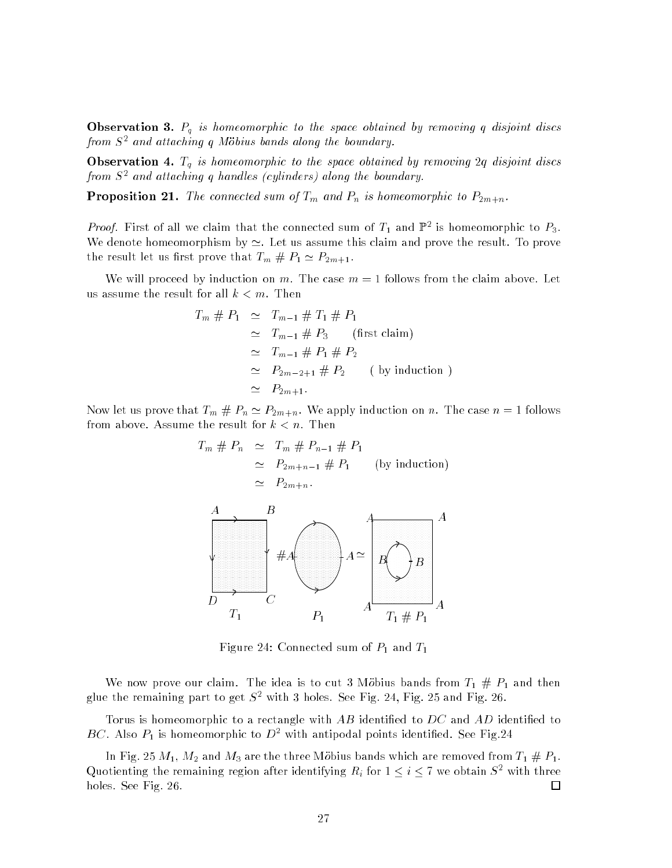**Observation 3.**  $P_q$  is homeomorphic to the space obtained by removing q disjoint discs from S<sup>2</sup> and atta
hing q Mobius bands along the boundary.

Observation 4.  $T_q$  is homeomorphic to the space obtained by removing 2q disjoint discs from S<sup>2</sup> and atta
hing q hand les (
ylinders) along the boundary.

**Proposition 21.** The connected sum of  $T_m$  and  $P_n$  is homeomorphic to  $P_{2m+n}$ .

#### PSfrag repla
ements

*Froof.* First of an we claim that the connected sum of  $T_1$  and  $\mathbb{I}^+$  is nomeomorphic to  $F_3$ . We denote homeomorphism by  $\simeq$ . Let us assume this claim and prove the result. To prove the result let us first prove that  $T_m \# P_1 \simeq P_{2m+1}$ .

We will proceed by induction on m. The case  $m = 1$  follows from the claim above. Let us assume the result for all  $k < m$ . Then

$$
\begin{array}{rcl}\n\ddot{F}_m \# P_1 & \simeq & T_{m-1} \# T_1 \# P_1 \\
A_1 & \simeq & T_{m-1} \# P_3 \qquad \text{(first claim)} \\
B_1 & \simeq & T_{m-1} \# P_1 \# P_2 \\
C_1 & \simeq & P_{2m-2+1} \# P_2 \qquad \text{( by induction)} \\
C_2 & \simeq & P_{2m+1}.\n\end{array}
$$

Now let us prove that  $T_m \# P_n \simeq P_{2m+n}$ . We apply induction on n. The case  $n = 1$  follows from above. Assume the result for  $k < n$ . Then <u>—</u> 4 E1

$$
F_{T_m} \# P_n \simeq T_m \# P_{n-1} \# P_1
$$
\n
$$
R_1
$$
\n
$$
R_2
$$
\n
$$
R_3
$$
\n
$$
R_4
$$
\n
$$
R_5
$$
\n
$$
R_6
$$
\n
$$
R_7
$$
\n
$$
P_{T_1}
$$
\n
$$
T_1
$$
\n
$$
P_1
$$
\n
$$
P_1
$$
\n
$$
P_1
$$
\n
$$
P_1
$$
\n
$$
P_1
$$
\n
$$
T_1 \# P_1
$$
\n
$$
P_1
$$
\n
$$
T_1 \# P_1
$$

Figure 24: Connected sum of  $P_1$  and  $T_1$ 

We now prove our claim. The idea is to cut 3 Mobius bands from  $T_1 \# P_1$  and then glue the remaining part to get  $S^+$  with 3 holes. See Fig. 24, Fig. 25 and Fig. 26.

Torus is homeomorphic to a rectangle with  $AB$  identified to  $DC$  and  $AD$  identified to  $B$ C. Also  $P_1$  is nomeomorphic to  $D^+$  with antipodal points identified. See Fig.24

In Fig. 25  $M_1$ ,  $M_2$  and  $M_3$  are the three Möbius bands which are removed from  $T_1 \# P_1$ . Quotienting the remaining region after identifying  $R_i$  for  $1 \leq i \leq r$  we obtain S<sup>2</sup> with three holes. See Fig. 26. □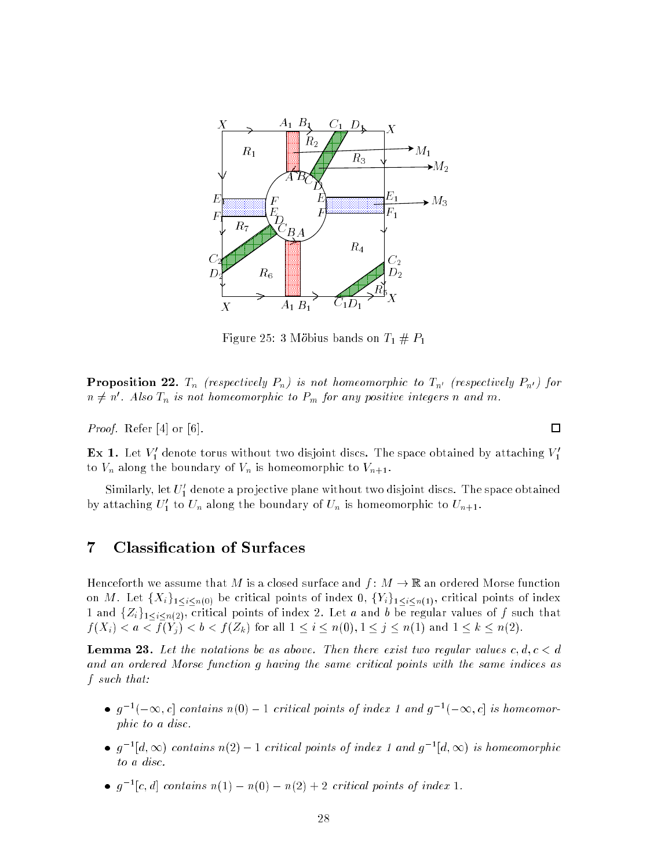

Figure 25: 3 Möbius bands on  $T_1 \# P_1$ 

**Proposition 22.**  $T_n$  (respectively  $P_n$ ) is not homeomorphic to  $T_{n'}$  (respectively  $P_{n'}$ ) for  $n\neq n$  . Also  $1_{n}$  is not nomeomorphic to  ${F}_{m}$  for any positive integers n and  $m.$ 

*Proof.* Refer  $[4]$  or  $[6]$ .

**Ex 1.** Let  $v_1$  denote torus without two disjoint discs. The space obtained by attaching  $v_1$ to  $V_n$  along the boundary of  $V_n$  is homeomorphic to  $V_{n+1}$ .

Similarly, let  $U_1$  denote a projective plane without two disjoint discs. The space obtained by attacning  $U_1$  to  $U_n$  along the boundary of  $U_n$  is nomeomorphic to  $U_{n+1}$ .

# 7 Classification of Surfaces

Henceforth we assume that M is a closed surface and  $f: M \to \mathbb{R}$  an ordered Morse function on M. Let  $\{X_i\}_{1\leq i\leq n(0)}$  be critical points of index 0,  $\{Y_i\}_{1\leq i\leq n(1)}$ , critical points of index rities in al points of index 2. Let a and be regular values of f such and be regular values of  $\mathcal{J}$  and that  $f$  (ii)  $f$  ) and  $f$  is a subset of  $f$  )  $f$  if  $f$  is an interesting  $f$  in  $f$  in  $f$  is a subset of  $f$  in  $f$  in  $f$  is a subset of  $f$  is a subset of  $f$  is a subset of  $f$  is a subset of  $f$  is a subset of  $f$  is

**Lemma 23.** Let the notations be as above. Then there exist two regular values  $c, d, c < d$ and an ordered Morse function q having the same critical points with the same indices as f su
h that:

- $\bullet$   $q$   $\lnot$   $\lnot$   $\infty$ ,  $c_{\lceil}$  contains  $n(\theta) 1$  cruical points of index 1 and  $q$   $\lnot$   $\lnot$   $\infty$ ,  $c_{\lceil}$  is nomeomorphic to a disc.
- $\bullet$   $q$   $\neg |a,\infty)$  contains  $n(z) 1$  critical points of index 1 and  $q$   $\neg |a,\infty)$  is nomeomorphic to a dis
.
- $\bullet$  q  $\lnot$  c, a) contains  $n(1) n(0) n(2) + 2$  cruical points of maex 1.

 $\Box$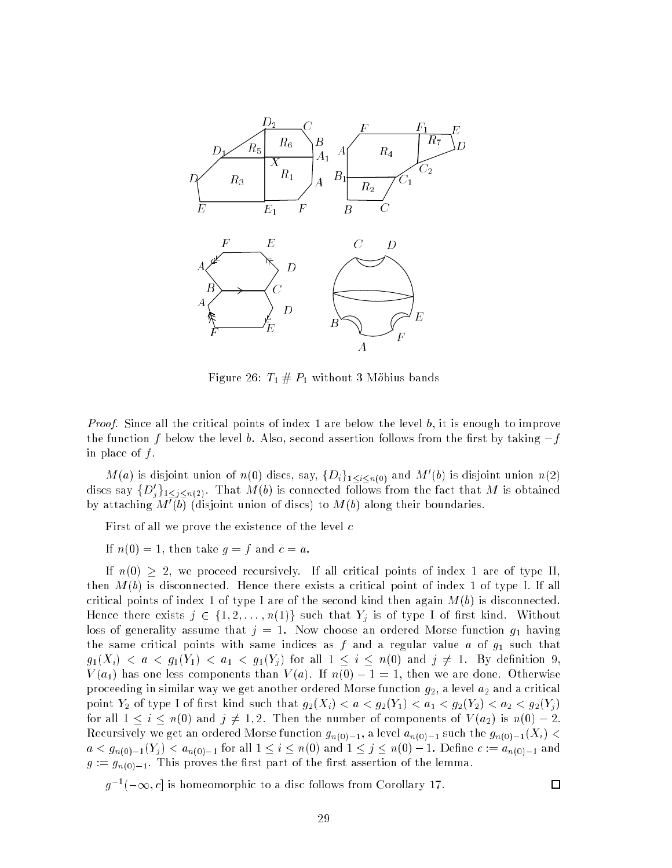

Figure 26:  $T_1 \# P_1$  without 3 Möbius bands

*Proof.* Since all the critical points of index 1 are below the level  $b$ , it is enough to improve the function f below the level b. Also, second assertion follows from the first by taking  $-f$ in place of  $f$ .

 $M(a)$  is disjoint union of  $n(0)$  discs, say,  $\{D_i\}_{1\leq i\leq n(0)}$  and  $M(0)$  is disjoint union  $n(2)$ discs say  $\{D_j\}_{1\leq j\leq n(2)}$ . That M(0) is connected follows from the fact that M is obtained by attaching  $M$  (b) (disjoint union of discs) to  $M$ (b) along their boundaries.

First of all we prove the existence of the level  $c$ 

If  $n(0) = 1$ , then take  $g = f$  and  $c = a$ .

If  $n(0) \geq 2$ , we proceed recursively. If all critical points of index 1 are of type II, then  $M(b)$  is disconnected. Hence there exists a critical point of index 1 of type I. If all critical points of index 1 of type I are of the second kind then again  $M(b)$  is disconnected. Hence there exists  $j \in \{1, 2, \ldots, n(1)\}$  such that  $Y_j$  is of type I of first kind. Without loss of generality assume that  $j = 1$ . Now choose an ordered Morse function  $g_1$  having the same critical points with same indices as  $f$  and a regular value  $a$  of  $g_1$  such that  $g_1(X_i) < a < g_1(Y_1) < a_1 < g_1(Y_j)$  for all  $1 \leq i \leq n(0)$  and  $j \neq 1$ . By definition 9,  $V(a_1)$  has one less components than  $V(a)$ . If  $n(0) - 1 = 1$ , then we are done. Otherwise proceeding in similar way we get another ordered Morse function  $g_2$ , a level  $a_2$  and a critical point  $Y_2$  of type I of first kind such that  $g_2(X_i) < a < g_2(Y_1) < a_1 < g_2(Y_2) < a_2 < g_2(Y_j)$ for all  $1 \le i \le n(0)$  and  $j \ne 1, 2$ . Then the number of components of  $V(a_2)$  is  $n(0) - 2$ . Recursively we get an ordered Morse function  $g_{n(0)-1}$ , a level  $a_{n(0)-1}$  such the  $g_{n(0)-1}(X_i)$  <  $a < g_{n(0)-1}(Y_j) < a_{n(0)-1}$  for all  $1 \le i \le n(0)$  and  $1 \le j \le n(0)-1$ . Define  $c := a_{n(0)-1}$  and  $g := g_{n(0)-1}$ . This proves the first part of the first assertion of the lemma.

 $q^{-1}$  =  $\infty$ ,  $c_{\parallel}$  is nomeomorphic to a disc follows from Corollary 17.

### □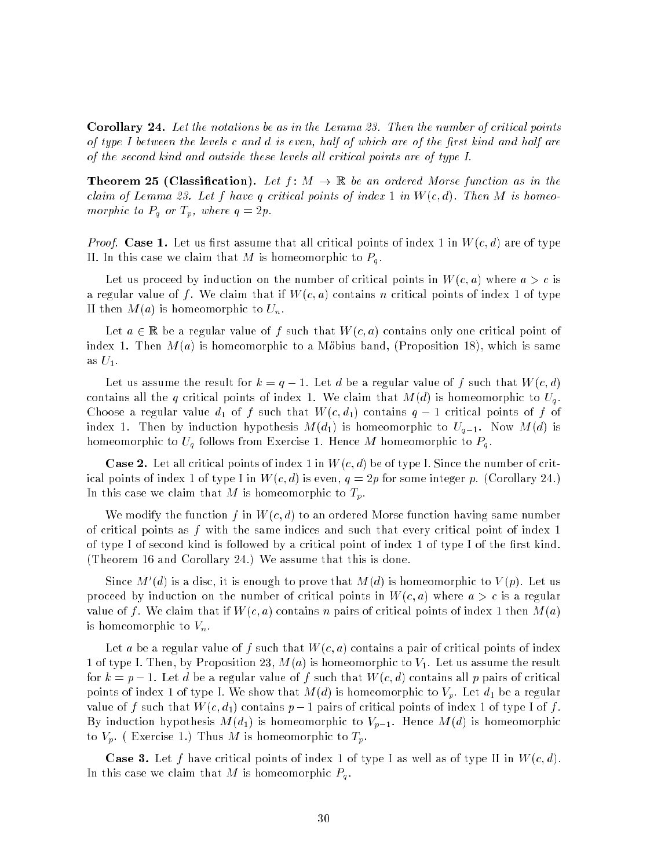Corollary 24. Let the notations be as in the Lemma 23. Then the number of critical points of type I between the levels c and d is even, half of which are of the first kind and half are of the second kind and outside these levels all critical points are of type I.

**Theorem 25 (Classification).** Let  $f: M \to \mathbb{R}$  be an ordered Morse function as in the claim of Lemma 23. Let f have q critical points of index 1 in  $W(c, d)$ . Then M is homeomorphic to  $P_q$  or  $T_p$ , where  $q=2p$ .

*Proof.* Case 1. Let us first assume that all critical points of index 1 in  $W(c,d)$  are of type II. In this case we claim that M is homeomorphic to  $P_q$ .

Let us proceed by induction on the number of critical points in  $W(c, a)$  where  $a > c$  is a regular value of f. We claim that if  $W(c, a)$  contains n critical points of index 1 of type II then  $M(a)$  is homeomorphic to  $U_n$ .

Let  $a \in \mathbb{R}$  be a regular value of f such that  $W(c, a)$  contains only one critical point of index 1. Then  $M(a)$  is homeomorphic to a Möbius band, (Proposition 18), which is same as  $U_1$ .

Let us assume the result for  $k = q - 1$ . Let d be a regular value of f such that  $W(c,d)$ contains all the q critical points of index 1. We claim that  $M(d)$  is homeomorphic to  $U_q$ . Choose a regular value  $d_1$  of f such that  $W(c, d_1)$  contains  $q-1$  critical points of f of index 1. Then by induction hypothesis  $M(d_1)$  is homeomorphic to  $U_{q-1}$ . Now  $M(d)$  is homeomorphic to  $U_q$  follows from Exercise 1. Hence M homeomorphic to  $P_q$ .

**Case 2.** Let all critical points of index 1 in  $W(c, d)$  be of type I. Since the number of critical points of index 1 of type I in  $W(c,d)$  is even,  $q = 2p$  for some integer p. (Corollary 24.) In this case we claim that M is homeomorphic to  $T_p$ .

We modify the function f in  $W(c,d)$  to an ordered Morse function having same number of critical points as f with the same indices and such that every critical point of index 1 of type I of se
ond kind is followed by a 
riti
al point of index 1 of type I of the rst kind. (Theorem 16 and Corollary 24.) We assume that this is done.

Since  $M$  (a) is a disc, it is enough to prove that  $M(a)$  is nomeomorphic to  $V(p)$ . Let us proceed by induction on the number of critical points in  $W(c, a)$  where  $a > c$  is a regular value of f. We claim that if  $W(c, a)$  contains n pairs of critical points of index 1 then  $M(a)$ is homeomorphic to  $V_n$ .

Let a be a regular value of f such that  $W(c, a)$  contains a pair of critical points of index 1 of type I. Then, by Proposition 23,  $M(a)$  is homeomorphic to  $V_1$ . Let us assume the result for  $k = p - 1$ . Let d be a regular value of f such that  $W(c, d)$  contains all p pairs of critical points of index 1 of type I. We show that  $M(d)$  is homeomorphic to  $V_p$ . Let  $d_1$  be a regular value of f such that  $W(c, d_1)$  contains  $p-1$  pairs of critical points of index 1 of type I of f. By induction hypothesis  $M(d_1)$  is homeomorphic to  $V_{p-1}$ . Hence  $M(d)$  is homeomorphic to  $V_p$ . (Exercise 1.) Thus M is homeomorphic to  $T_p$ .

**Case 3.** Let f have critical points of index 1 of type I as well as of type II in  $W(c, d)$ . In this case we claim that M is homeomorphic  $P_q$ .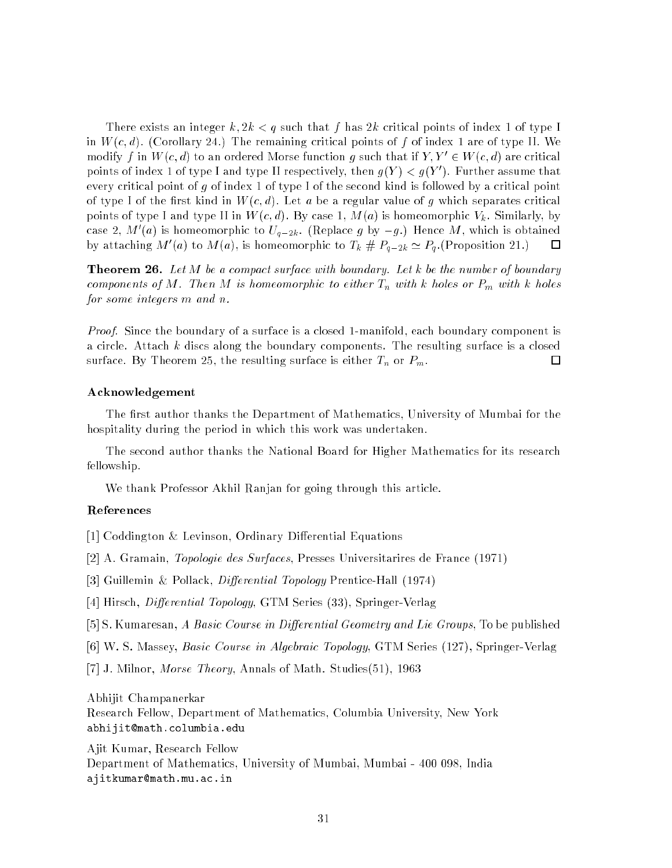There exists an integer  $k, 2k < q$  such that f has  $2k$  critical points of index 1 of type I in  $W(c, d)$ . (Corollary 24.) The remaining critical points of f of index 1 are of type II. We modify f in W  $(c, a)$  to an ordered Morse function g such that if  $Y, Y \in W(c, a)$  are critical points of index 1 of type I and type II respectively, then  $q(Y) < q(Y)$  . Further assume that every critical point of  $g$  of index 1 of type I of the second kind is followed by a critical point of type I of the first kind in  $W(c,d)$ . Let a be a regular value of g which separates critical points of type I and type II in  $W(c, d)$ . By case 1,  $M(a)$  is homeomorphic  $V_k$ . Similarly, by case 2, m (a) is nomeomorphic to  $U_{q-2k}$ . (Replace g by  $-g$ .) Hence M, which is obtained  $\Box$ by attaching  $M(a)$  to  $M(a)$ , is homeomorphic to  $T_k \# P_{a-2k} \simeq P_a$ . Proposition 21.)

**Theorem 26.** Let  $M$  be a compact surface with boundary. Let  $k$  be the number of boundary components of M. Then M is homeomorphic to either  $T_n$  with k holes or  $P_m$  with k holes for some integers m and n.

Proof. Since the boundary of a surface is a closed 1-manifold, each boundary component is a circle. Attach k discs along the boundary components. The resulting surface is a closed surface. By Theorem 25, the resulting surface is either  $T_n$  or  $P_m$ . □

#### A
knowledgement

The first author thanks the Department of Mathematics, University of Mumbai for the hospitality during the period in which this work was undertaken.

The se
ond author thanks the National Board for Higher Mathemati
s for its resear
h fellowship.

We thank Professor Akhil Ranjan for going through this article.

#### Referen
es

[1] Coddington & Levinson, Ordinary Differential Equations

[2] A. Gramain, *Topologie des Surfaces*, Presses Universitarires de France (1971)

[3] Guillemin & Pollack, *Differential Topology* Prentice-Hall (1974)

[4] Hirsch, Differential Topology, GTM Series (33), Springer-Verlag

[5] S. Kumaresan, A Basic Course in Differential Geometry and Lie Groups, To be published

[6] W. S. Massey, Basic Course in Algebraic Topology, GTM Series (127), Springer-Verlag

[7] J. Milnor, *Morse Theory*, Annals of Math. Studies(51), 1963

#### Abhijit Champanerkar

Resear
h Fellow, Department of Mathemati
s, Columbia University, New York abhijit@math.columbia.edu

Ajit Kumar, Resear
h Fellow Department of Mathemati
s, University of Mumbai, Mumbai - 400 098, India ajitkumar@math.mu.ac.in